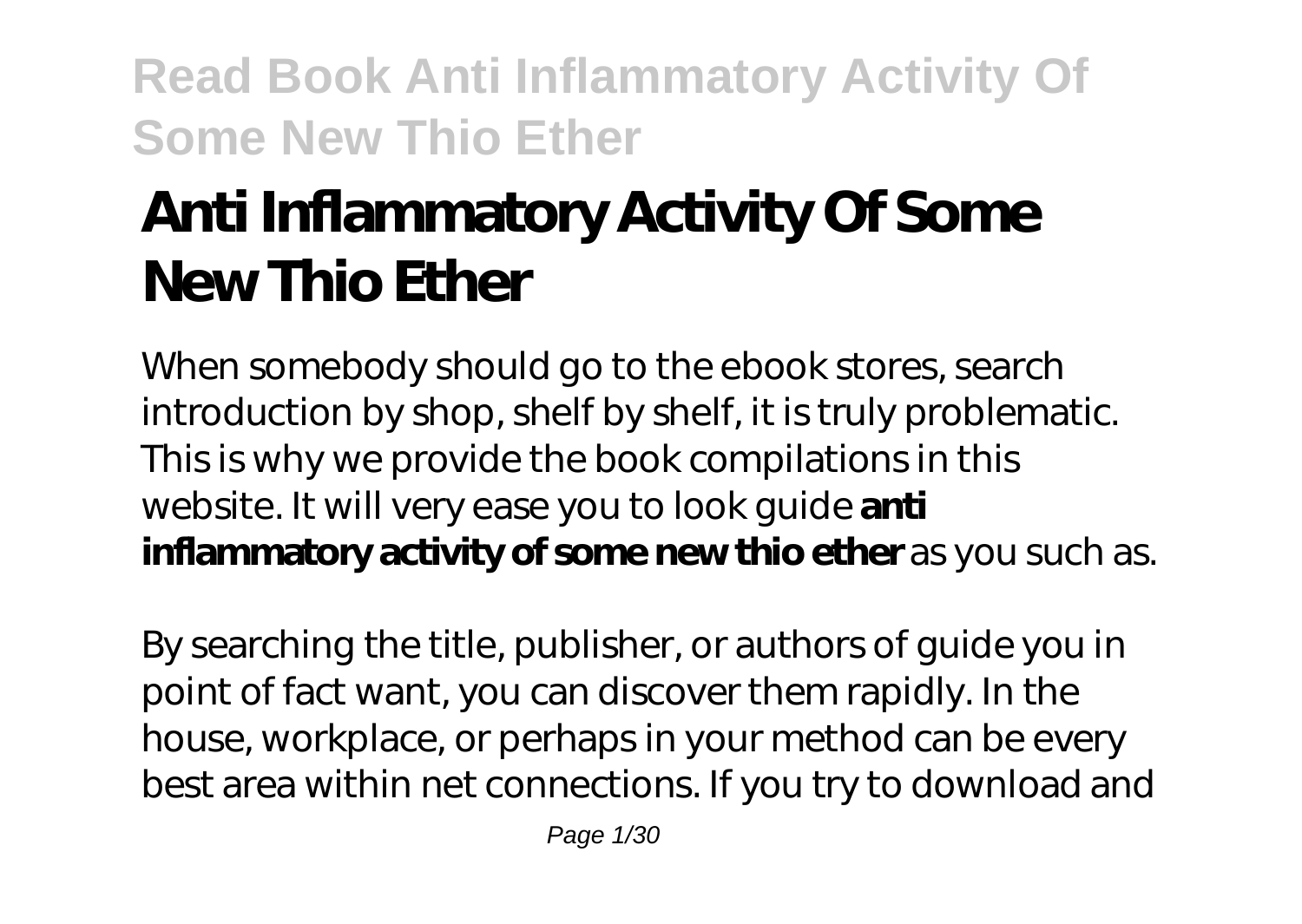# **Anti Inflammatory Activity Of Some New Thio Ether**

When somebody should go to the ebook stores, search introduction by shop, shelf by shelf, it is truly problematic. This is why we provide the book compilations in this website. It will very ease you to look guide **anti inflammatory activity of some new thio ether** as you such as.

By searching the title, publisher, or authors of guide you in point of fact want, you can discover them rapidly. In the house, workplace, or perhaps in your method can be every best area within net connections. If you try to download and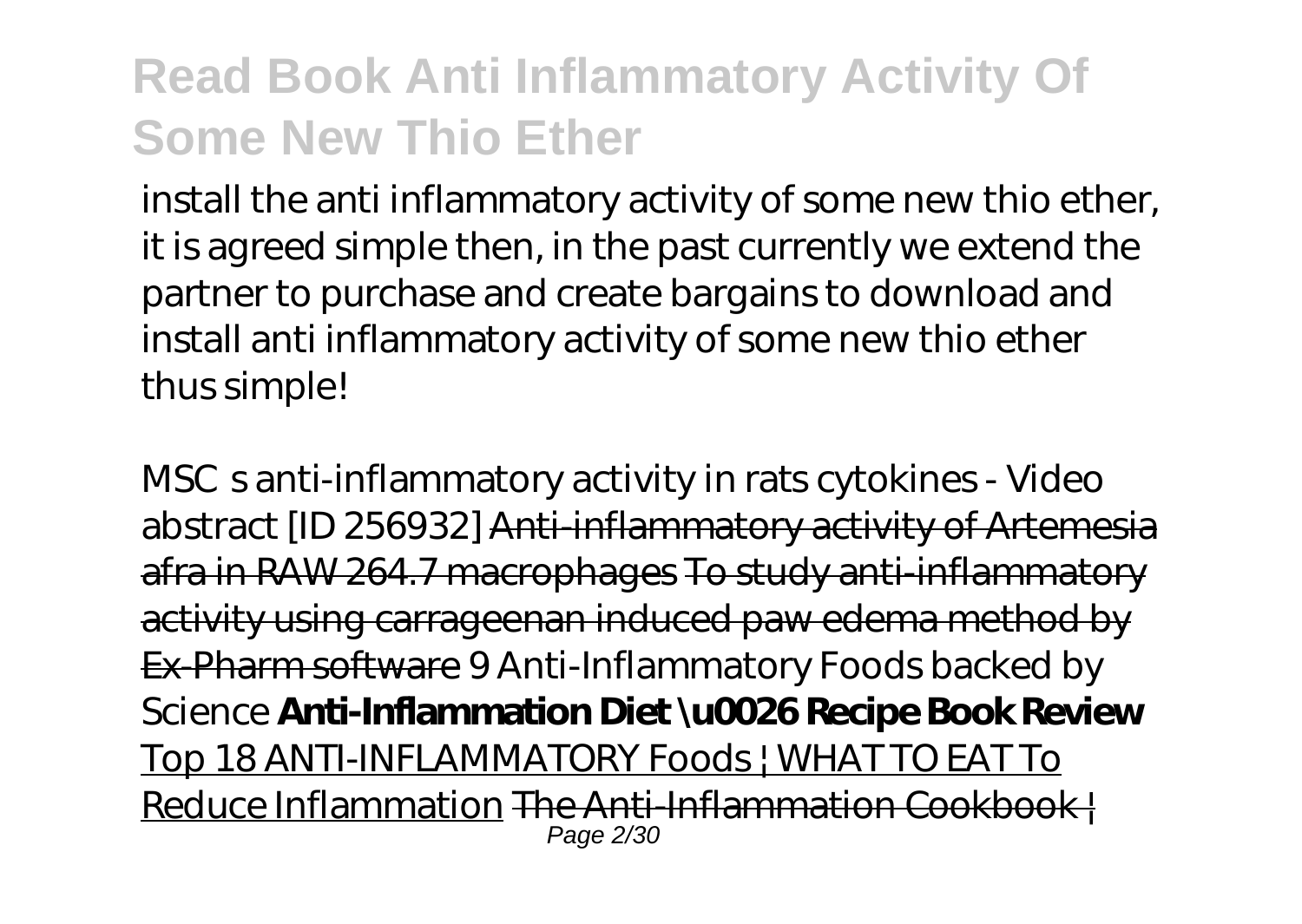install the anti inflammatory activity of some new thio ether, it is agreed simple then, in the past currently we extend the partner to purchase and create bargains to download and install anti inflammatory activity of some new thio ether thus simple!

*MSСs anti-inflammatory activity in rats cytokines - Video abstract [ID 256932]* Anti-inflammatory activity of Artemesia afra in RAW 264.7 macrophages To study anti-inflammatory activity using carrageenan induced paw edema method by Ex-Pharm software *9 Anti-Inflammatory Foods backed by Science* **Anti-Inflammation Diet \u0026 Recipe Book Review** Top 18 ANTI-INFLAMMATORY Foods | WHAT TO EAT To Reduce Inflammation The Anti-Inflammation Cookbook | Page 2/30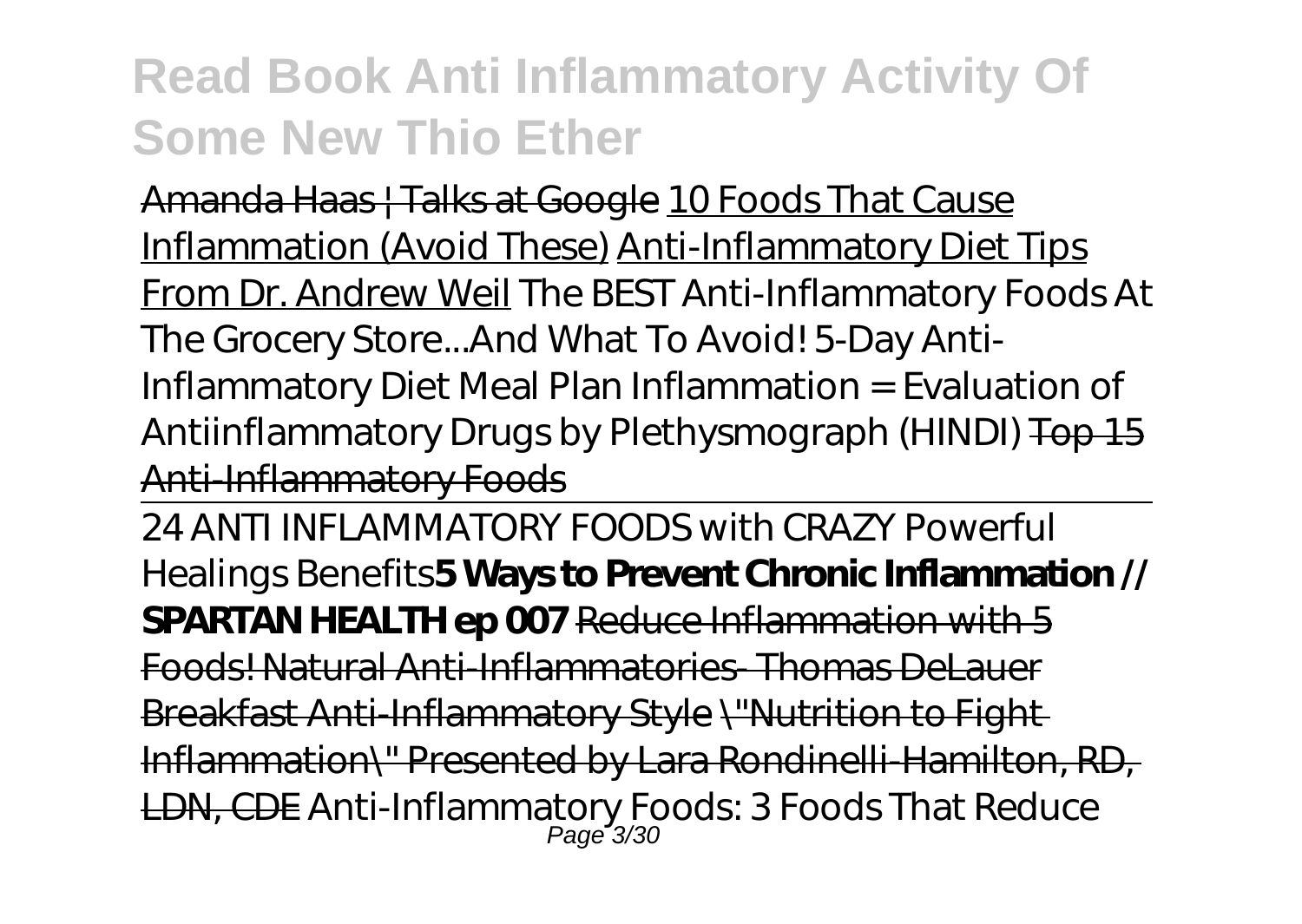Amanda Haas | Talks at Google 10 Foods That Cause Inflammation (Avoid These) Anti-Inflammatory Diet Tips From Dr. Andrew Weil *The BEST Anti-Inflammatory Foods At The Grocery Store...And What To Avoid! 5-Day Anti-Inflammatory Diet Meal Plan* Inflammation = Evaluation of Antiinflammatory Drugs by Plethysmograph (HINDI) Top 15 Anti-Inflammatory Foods

24 ANTI INFLAMMATORY FOODS with CRAZY Powerful Healings Benefits**5 Ways to Prevent Chronic Inflammation // SPARTAN HEALTH ep 007** Reduce Inflammation with 5 Foods! Natural Anti-Inflammatories- Thomas DeLauer Breakfast Anti-Inflammatory Style \"Nutrition to Fight Inflammation\" Presented by Lara Rondinelli-Hamilton, RD, <del>LDN, CDE</del> Anti-Inflammatory Foods: 3 Foods That Reduce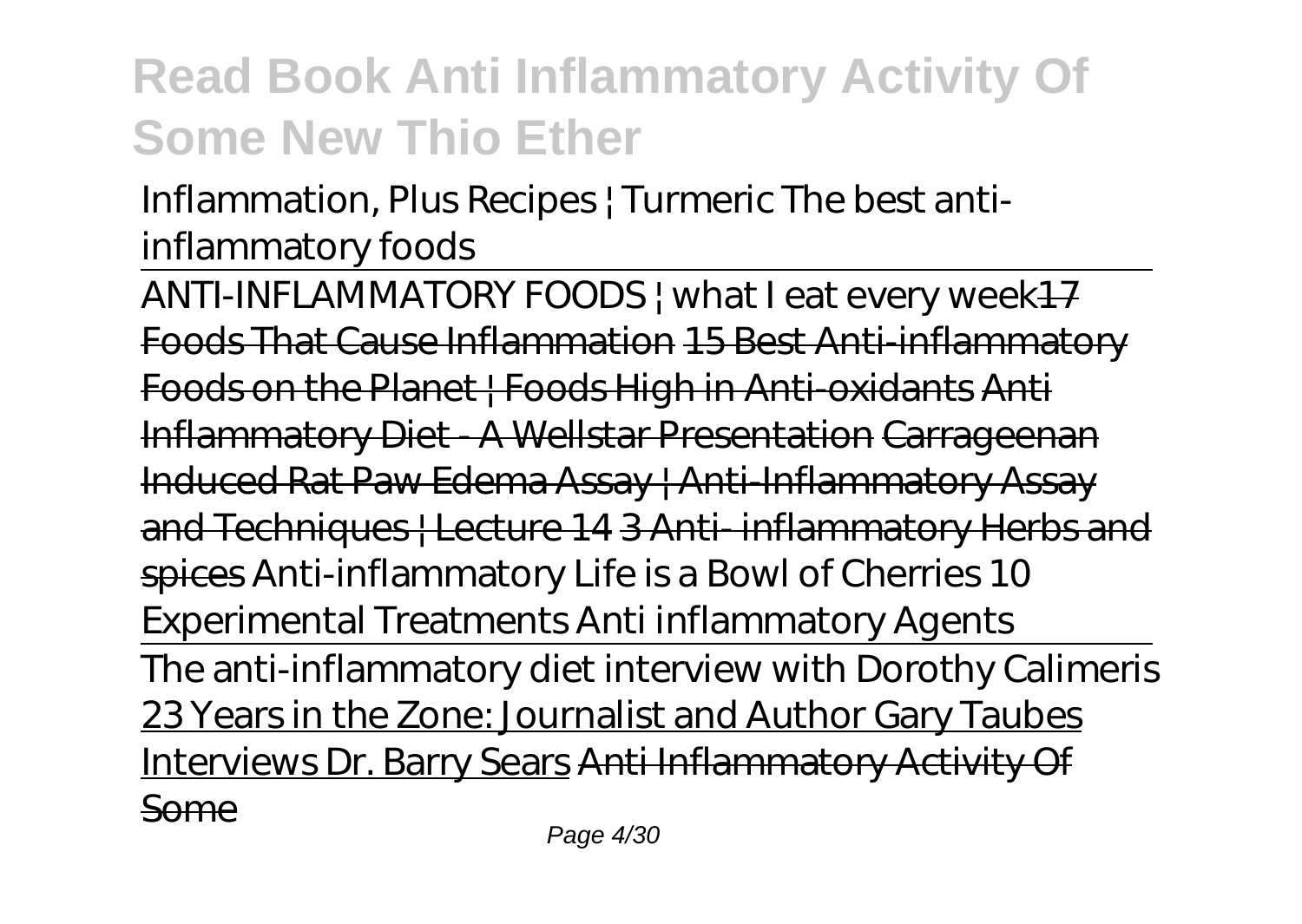#### Inflammation, Plus Recipes | Turmeric *The best antiinflammatory foods*

ANTI-INFLAMMATORY FOODS | what I eat every week<sup>17</sup> Foods That Cause Inflammation 15 Best Anti-inflammatory Foods on the Planet | Foods High in Anti-oxidants Anti Inflammatory Diet - A Wellstar Presentation Carrageenan Induced Rat Paw Edema Assay | Anti-Inflammatory Assay and Techniques | Lecture 14 3 Anti-inflammatory Herbs and spices Anti-inflammatory Life is a Bowl of Cherries 10 Experimental Treatments Anti inflammatory Agents The anti-inflammatory diet interview with Dorothy Calimeris 23 Years in the Zone: Journalist and Author Gary Taubes Interviews Dr. Barry Sears Anti Inflammatory Activity Of Some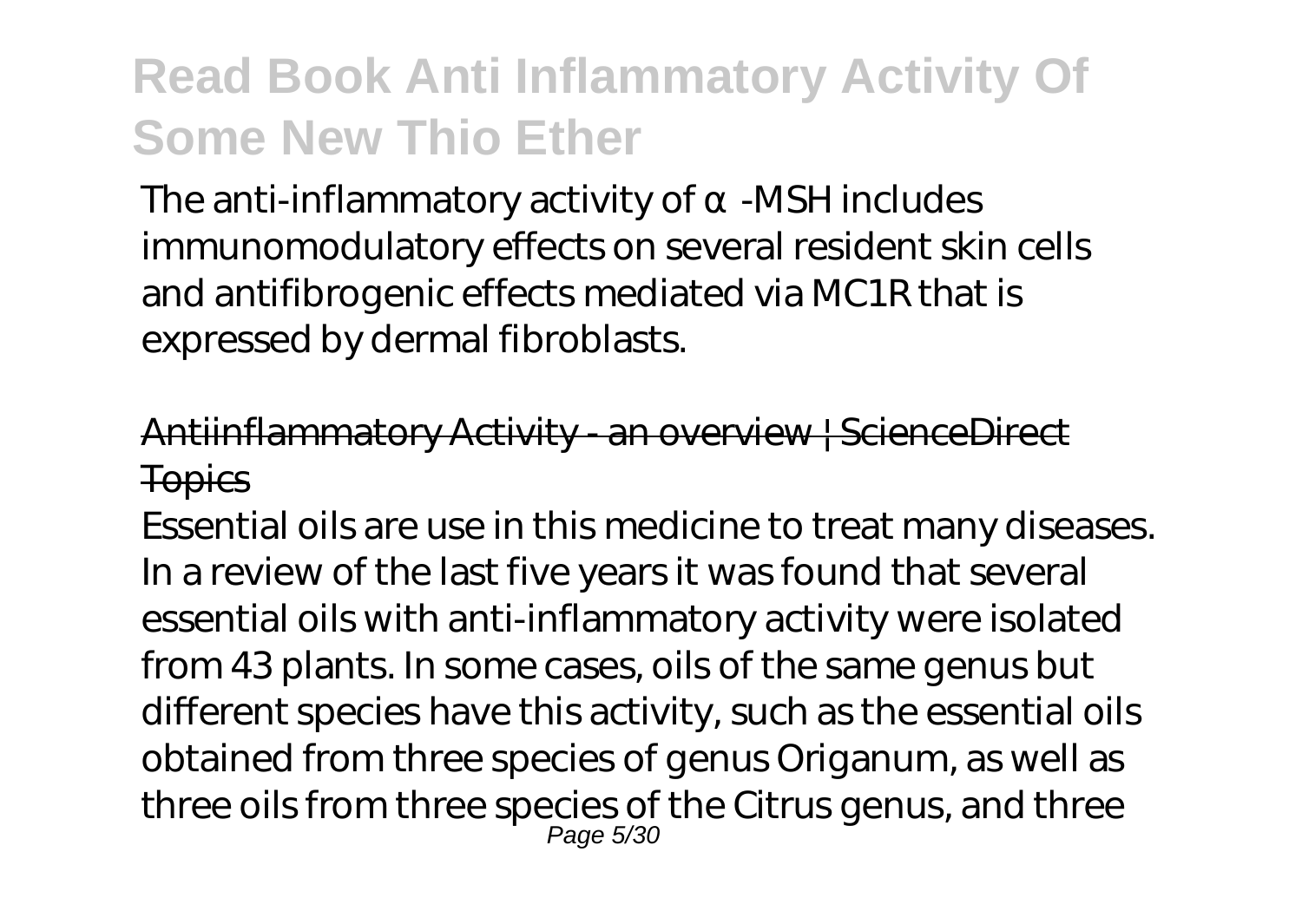The anti-inflammatory activity of -MSH includes immunomodulatory effects on several resident skin cells and antifibrogenic effects mediated via MC1R that is expressed by dermal fibroblasts.

#### Antiinflammatory Activity - an overview | ScienceDirect **Topics**

Essential oils are use in this medicine to treat many diseases. In a review of the last five years it was found that several essential oils with anti-inflammatory activity were isolated from 43 plants. In some cases, oils of the same genus but different species have this activity, such as the essential oils obtained from three species of genus Origanum, as well as three oils from three species of the Citrus genus, and three Page 5/30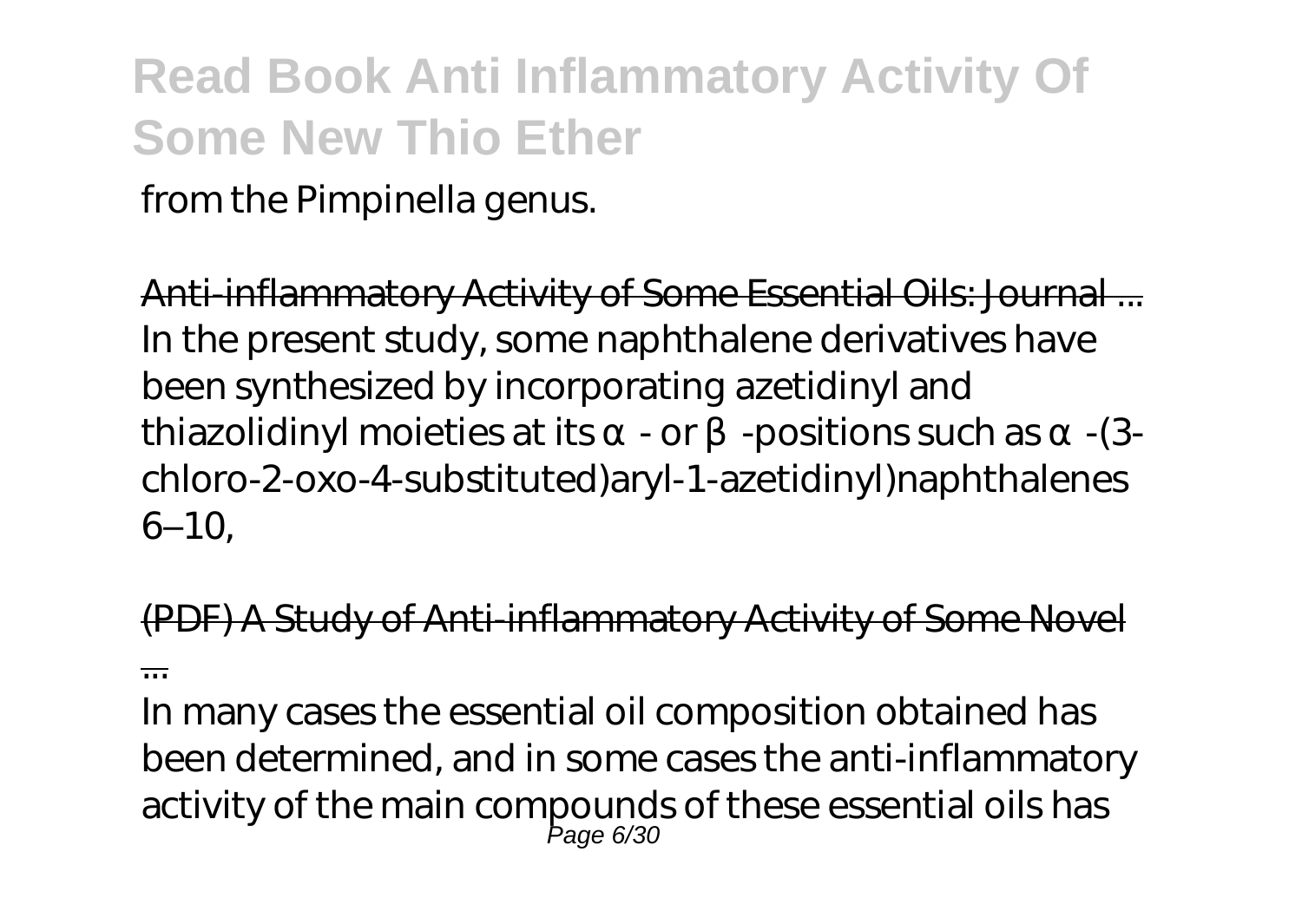from the Pimpinella genus.

Anti-inflammatory Activity of Some Essential Oils: Journal ... In the present study, some naphthalene derivatives have been synthesized by incorporating azetidinyl and thiazolidinyl moieties at its - or -positions such as -(3chloro-2-oxo-4-substituted)aryl-1-azetidinyl)naphthalenes 6–10,

(PDF) A Study of Anti-inflammatory Activity of Some Novel ...

In many cases the essential oil composition obtained has been determined, and in some cases the anti-inflammatory activity of the main compounds of these essential oils has Page 6/30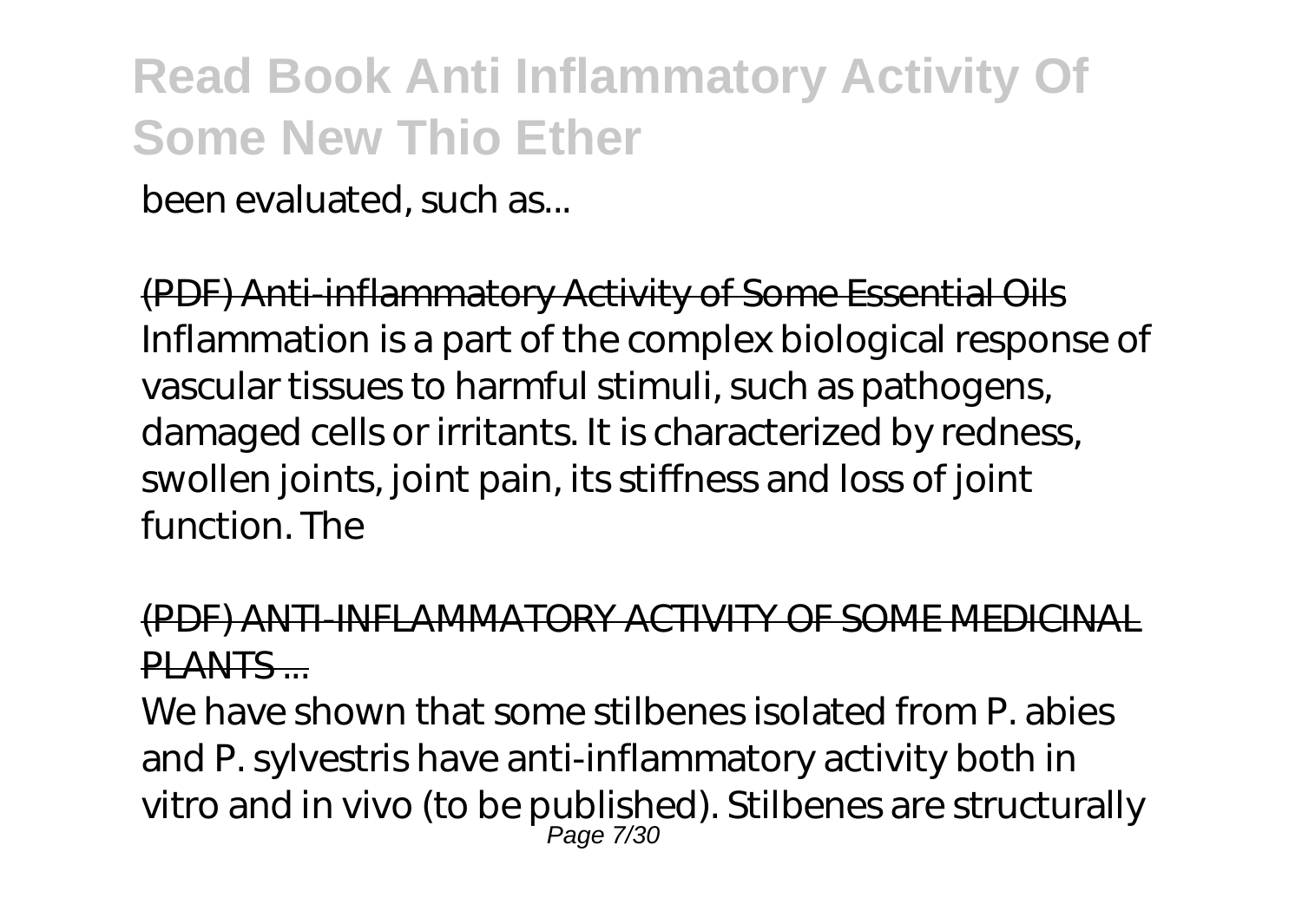been evaluated, such as...

(PDF) Anti-inflammatory Activity of Some Essential Oils Inflammation is a part of the complex biological response of vascular tissues to harmful stimuli, such as pathogens, damaged cells or irritants. It is characterized by redness, swollen joints, joint pain, its stiffness and loss of joint function. The

#### (PDF) ANTI-INFLAMMATORY ACTIVITY OF SOME MEDICI PLANTS ...

We have shown that some stilbenes isolated from P. abies and P. sylvestris have anti-inflammatory activity both in vitro and in vivo (to be published). Stilbenes are structurally Page 7/30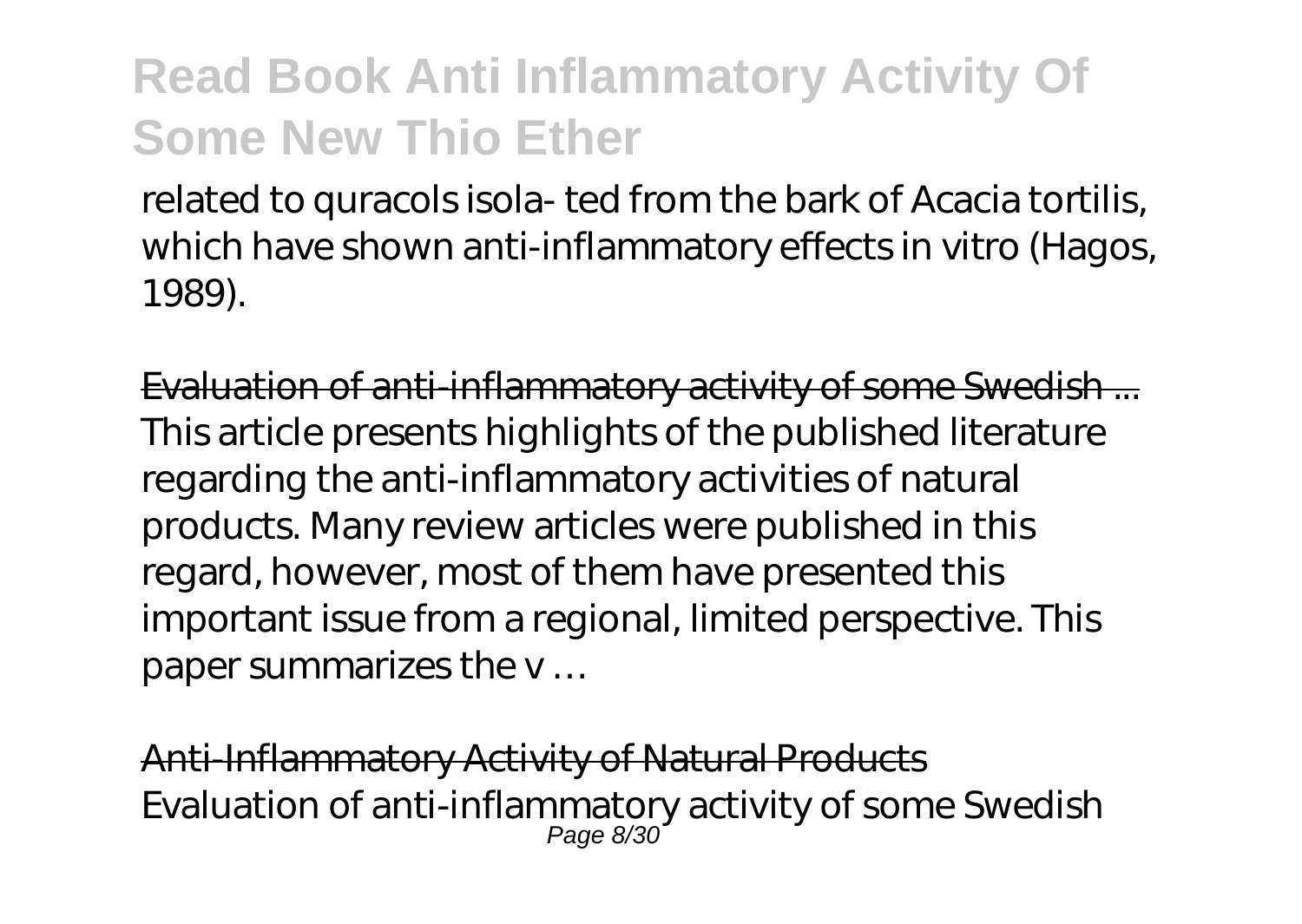related to quracols isola- ted from the bark of Acacia tortilis, which have shown anti-inflammatory effects in vitro (Hagos, 1989).

Evaluation of anti-inflammatory activity of some Swedish ... This article presents highlights of the published literature regarding the anti-inflammatory activities of natural products. Many review articles were published in this regard, however, most of them have presented this important issue from a regional, limited perspective. This paper summarizes the v …

Anti-Inflammatory Activity of Natural Products Evaluation of anti-inflammatory activity of some Swedish Page 8/30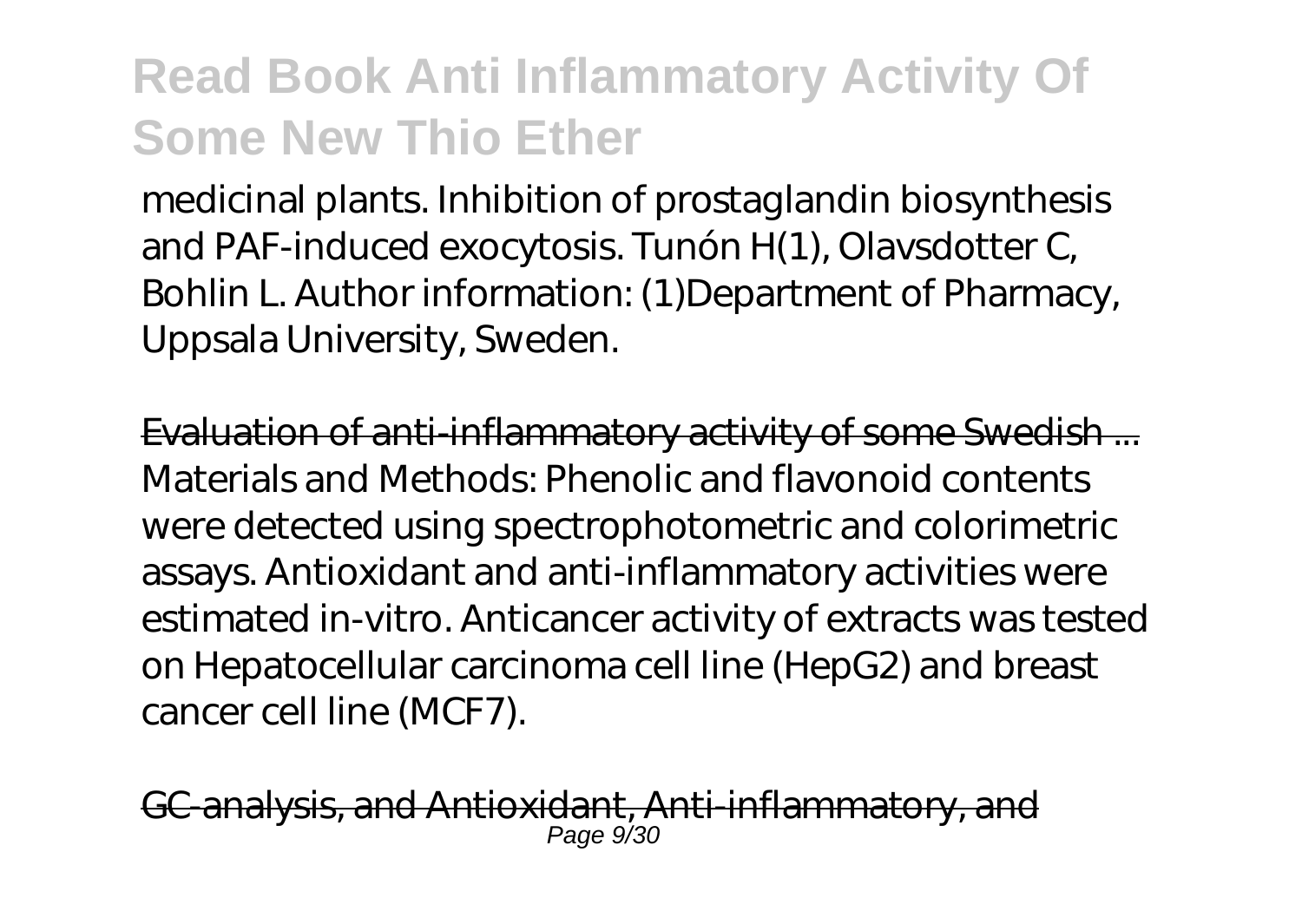medicinal plants. Inhibition of prostaglandin biosynthesis and PAF-induced exocytosis. Tunón H(1), Olavsdotter C, Bohlin L. Author information: (1)Department of Pharmacy, Uppsala University, Sweden.

Evaluation of anti-inflammatory activity of some Swedish ... Materials and Methods: Phenolic and flavonoid contents were detected using spectrophotometric and colorimetric assays. Antioxidant and anti-inflammatory activities were estimated in-vitro. Anticancer activity of extracts was tested on Hepatocellular carcinoma cell line (HepG2) and breast cancer cell line (MCF7).

G-analysis, and Antioxidant, Anti-inflammatory, Page 9/30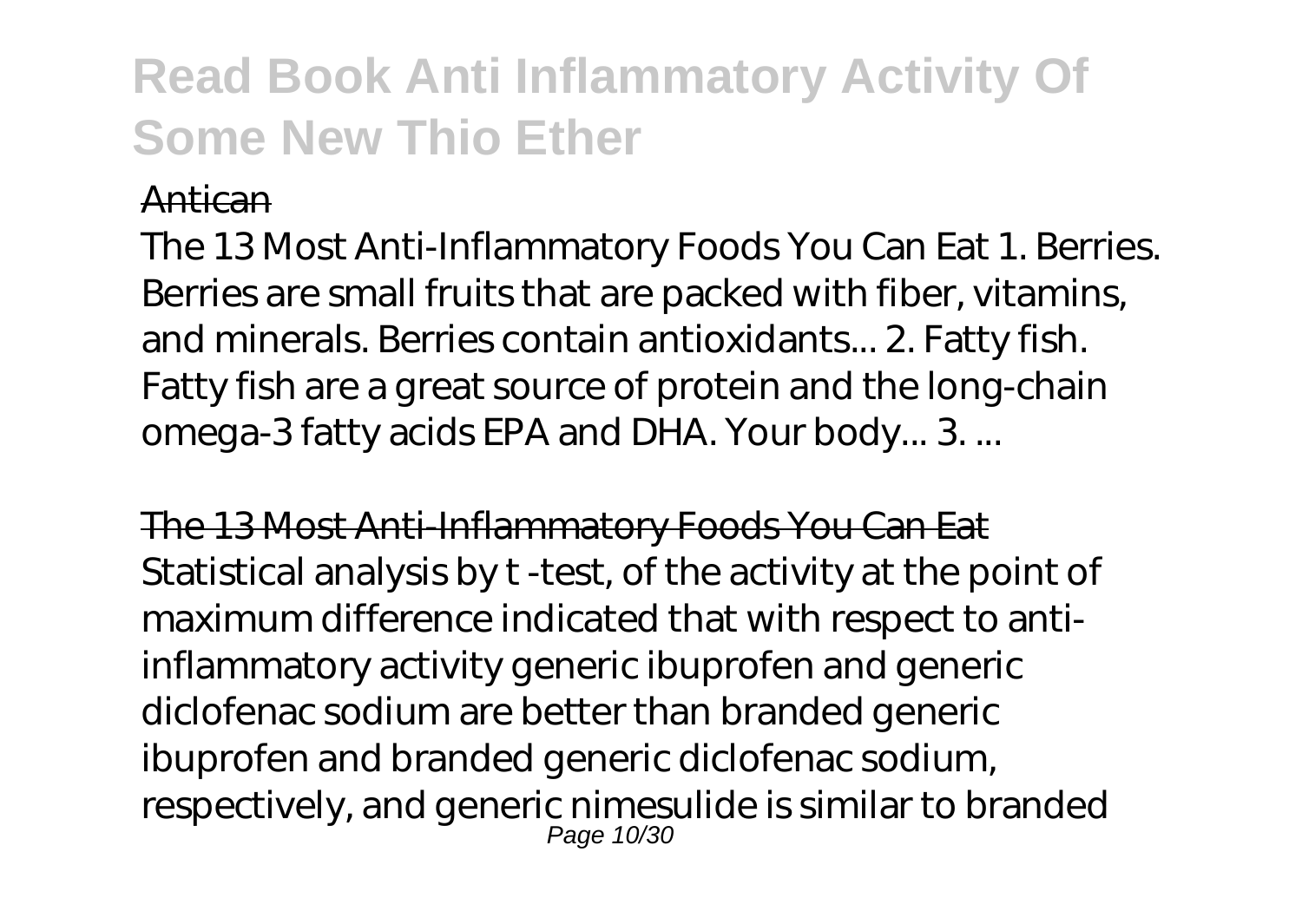#### Antican

The 13 Most Anti-Inflammatory Foods You Can Eat 1. Berries. Berries are small fruits that are packed with fiber, vitamins, and minerals. Berries contain antioxidants... 2. Fatty fish. Fatty fish are a great source of protein and the long-chain omega-3 fatty acids EPA and DHA. Your body... 3. ...

The 13 Most Anti-Inflammatory Foods You Can Eat Statistical analysis by t -test, of the activity at the point of maximum difference indicated that with respect to antiinflammatory activity generic ibuprofen and generic diclofenac sodium are better than branded generic ibuprofen and branded generic diclofenac sodium, respectively, and generic nimesulide is similar to branded Page 10/30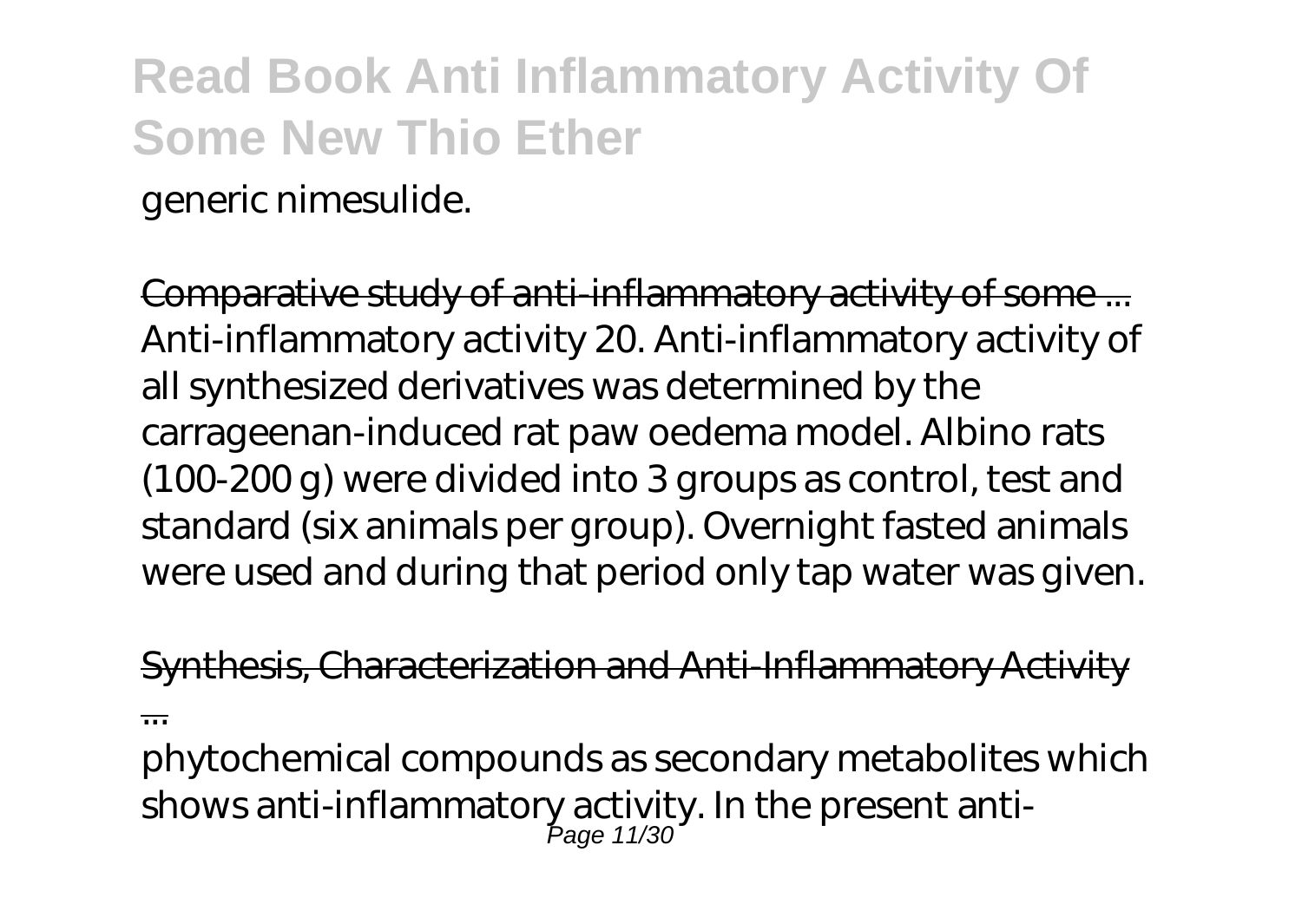generic nimesulide.

Comparative study of anti-inflammatory activity of some ... Anti-inflammatory activity 20. Anti-inflammatory activity of all synthesized derivatives was determined by the carrageenan-induced rat paw oedema model. Albino rats (100-200 g) were divided into 3 groups as control, test and standard (six animals per group). Overnight fasted animals were used and during that period only tap water was given.

Synthesis, Characterization and Anti-Inflammatory Activity ...

phytochemical compounds as secondary metabolites which shows anti-inflammatory activity. In the present anti-Page 11/30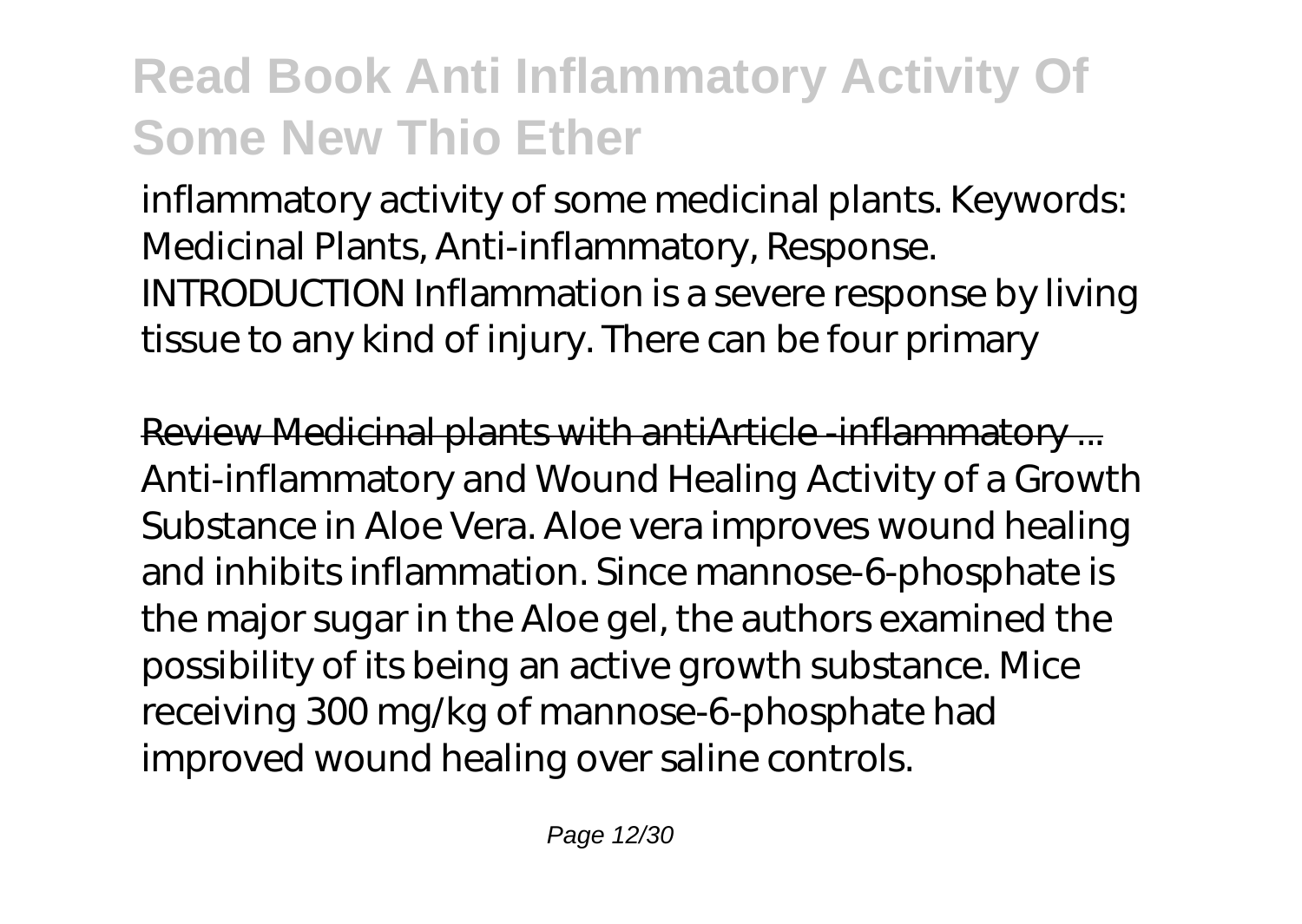inflammatory activity of some medicinal plants. Keywords: Medicinal Plants, Anti-inflammatory, Response. INTRODUCTION Inflammation is a severe response by living tissue to any kind of injury. There can be four primary

Review Medicinal plants with antiArticle -inflammatory ... Anti-inflammatory and Wound Healing Activity of a Growth Substance in Aloe Vera. Aloe vera improves wound healing and inhibits inflammation. Since mannose-6-phosphate is the major sugar in the Aloe gel, the authors examined the possibility of its being an active growth substance. Mice receiving 300 mg/kg of mannose-6-phosphate had improved wound healing over saline controls.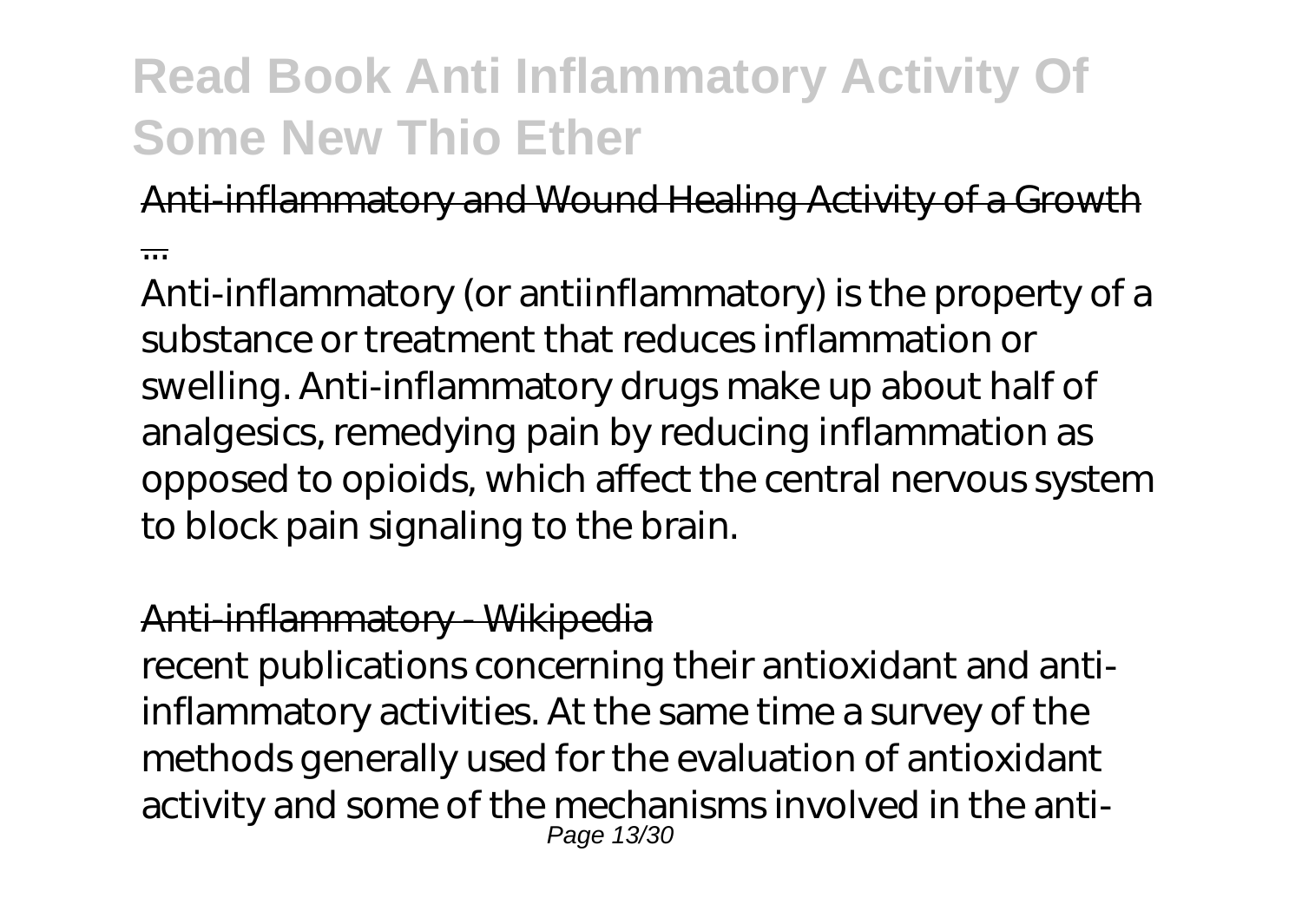#### Anti-inflammatory and Wound Healing Activity of a Growth

...

Anti-inflammatory (or antiinflammatory) is the property of a substance or treatment that reduces inflammation or swelling. Anti-inflammatory drugs make up about half of analgesics, remedying pain by reducing inflammation as opposed to opioids, which affect the central nervous system to block pain signaling to the brain.

#### Anti-inflammatory - Wikipedia

recent publications concerning their antioxidant and antiinflammatory activities. At the same time a survey of the methods generally used for the evaluation of antioxidant activity and some of the mechanisms involved in the anti-Page 13/30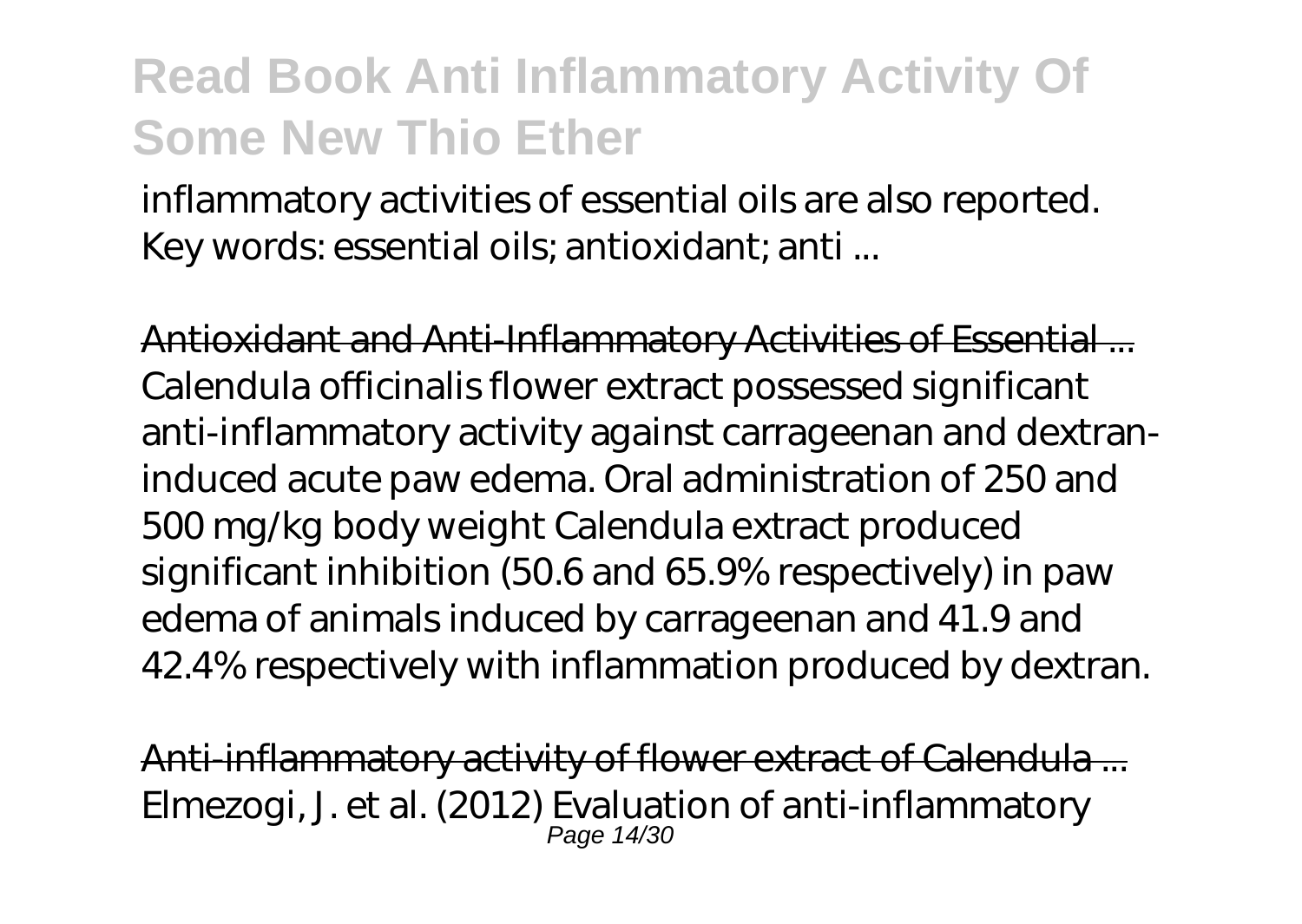inflammatory activities of essential oils are also reported. Key words: essential oils; antioxidant; anti ...

Antioxidant and Anti-Inflammatory Activities of Essential ... Calendula officinalis flower extract possessed significant anti-inflammatory activity against carrageenan and dextraninduced acute paw edema. Oral administration of 250 and 500 mg/kg body weight Calendula extract produced significant inhibition (50.6 and 65.9% respectively) in paw edema of animals induced by carrageenan and 41.9 and 42.4% respectively with inflammation produced by dextran.

Anti-inflammatory activity of flower extract of Calendula ... Elmezogi, J. et al. (2012) Evaluation of anti-inflammatory Page 14/30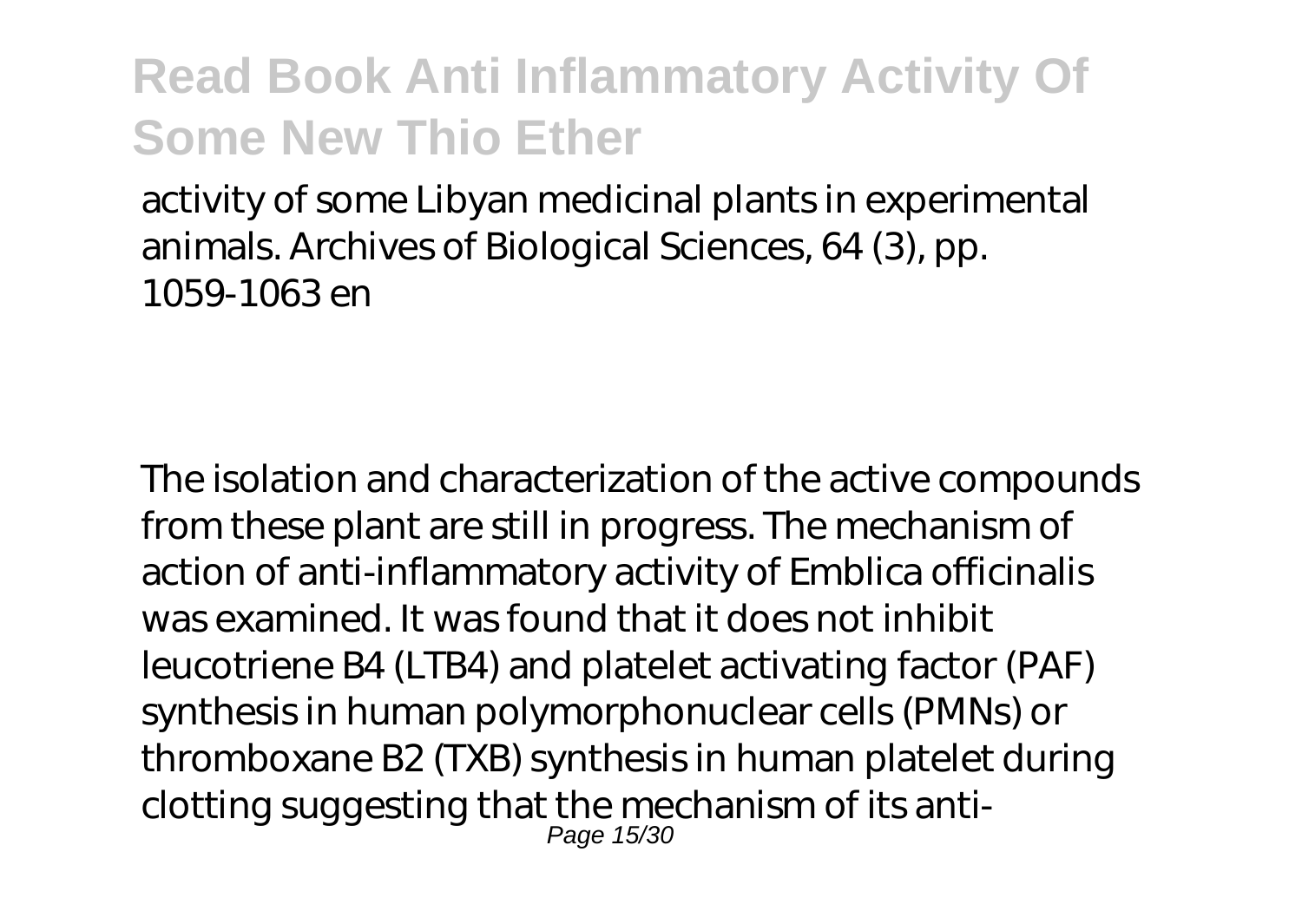activity of some Libyan medicinal plants in experimental animals. Archives of Biological Sciences, 64 (3), pp. 1059-1063 en

The isolation and characterization of the active compounds from these plant are still in progress. The mechanism of action of anti-inflammatory activity of Emblica officinalis was examined. It was found that it does not inhibit leucotriene B4 (LTB4) and platelet activating factor (PAF) synthesis in human polymorphonuclear cells (PMNs) or thromboxane B2 (TXB) synthesis in human platelet during clotting suggesting that the mechanism of its anti-Page 15/30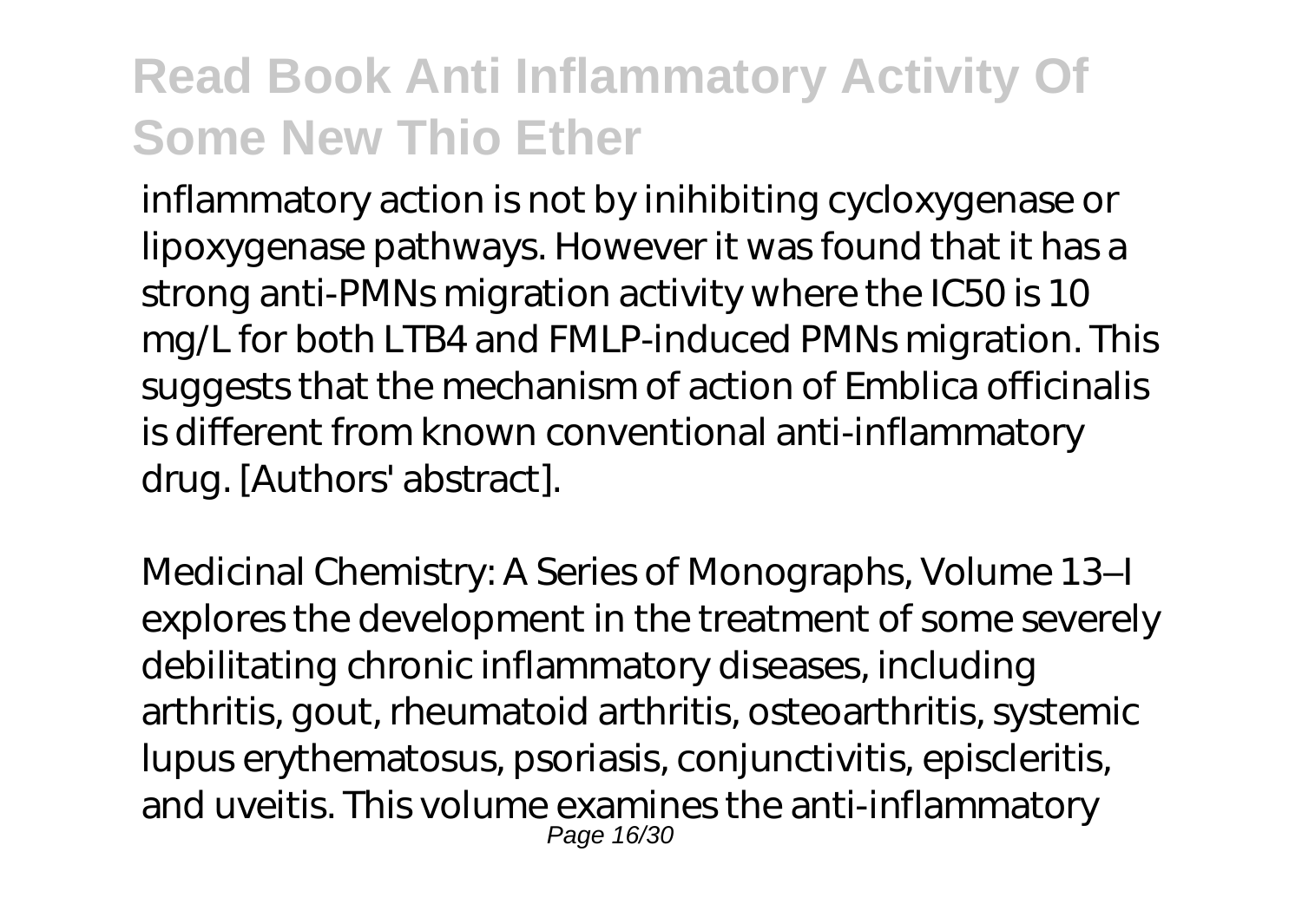inflammatory action is not by inihibiting cycloxygenase or lipoxygenase pathways. However it was found that it has a strong anti-PMNs migration activity where the IC50 is 10 mg/L for both LTB4 and FMLP-induced PMNs migration. This suggests that the mechanism of action of Emblica officinalis is different from known conventional anti-inflammatory drug. [Authors' abstract].

Medicinal Chemistry: A Series of Monographs, Volume 13–I explores the development in the treatment of some severely debilitating chronic inflammatory diseases, including arthritis, gout, rheumatoid arthritis, osteoarthritis, systemic lupus erythematosus, psoriasis, conjunctivitis, episcleritis, and uveitis. This volume examines the anti-inflammatory Page 16/30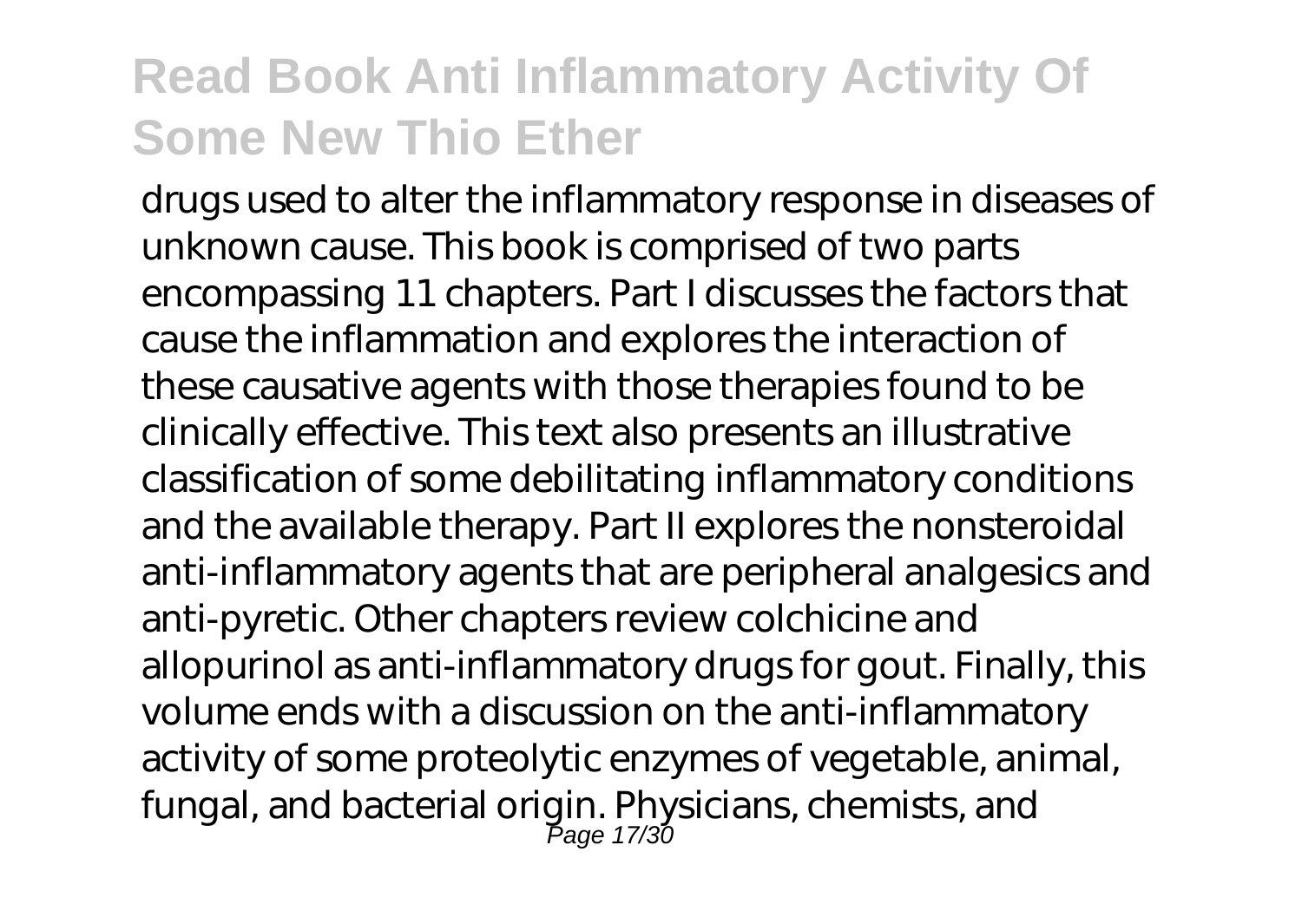drugs used to alter the inflammatory response in diseases of unknown cause. This book is comprised of two parts encompassing 11 chapters. Part I discusses the factors that cause the inflammation and explores the interaction of these causative agents with those therapies found to be clinically effective. This text also presents an illustrative classification of some debilitating inflammatory conditions and the available therapy. Part II explores the nonsteroidal anti-inflammatory agents that are peripheral analgesics and anti-pyretic. Other chapters review colchicine and allopurinol as anti-inflammatory drugs for gout. Finally, this volume ends with a discussion on the anti-inflammatory activity of some proteolytic enzymes of vegetable, animal, fungal, and bacterial origin. Physicians, chemists, and Page 17/30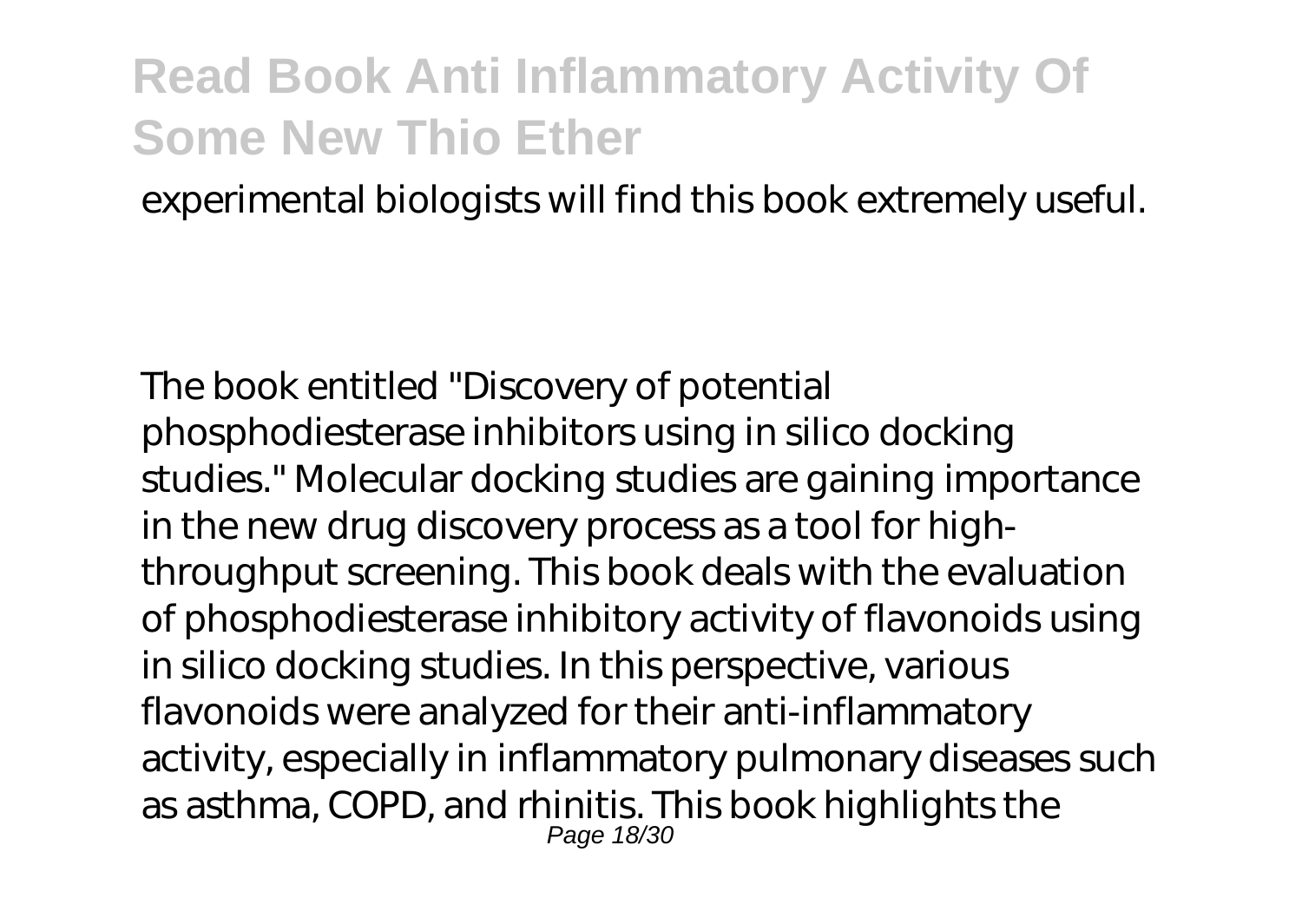experimental biologists will find this book extremely useful.

The book entitled "Discovery of potential phosphodiesterase inhibitors using in silico docking studies." Molecular docking studies are gaining importance in the new drug discovery process as a tool for highthroughput screening. This book deals with the evaluation of phosphodiesterase inhibitory activity of flavonoids using in silico docking studies. In this perspective, various flavonoids were analyzed for their anti-inflammatory activity, especially in inflammatory pulmonary diseases such as asthma, COPD, and rhinitis. This book highlights the Page 18/30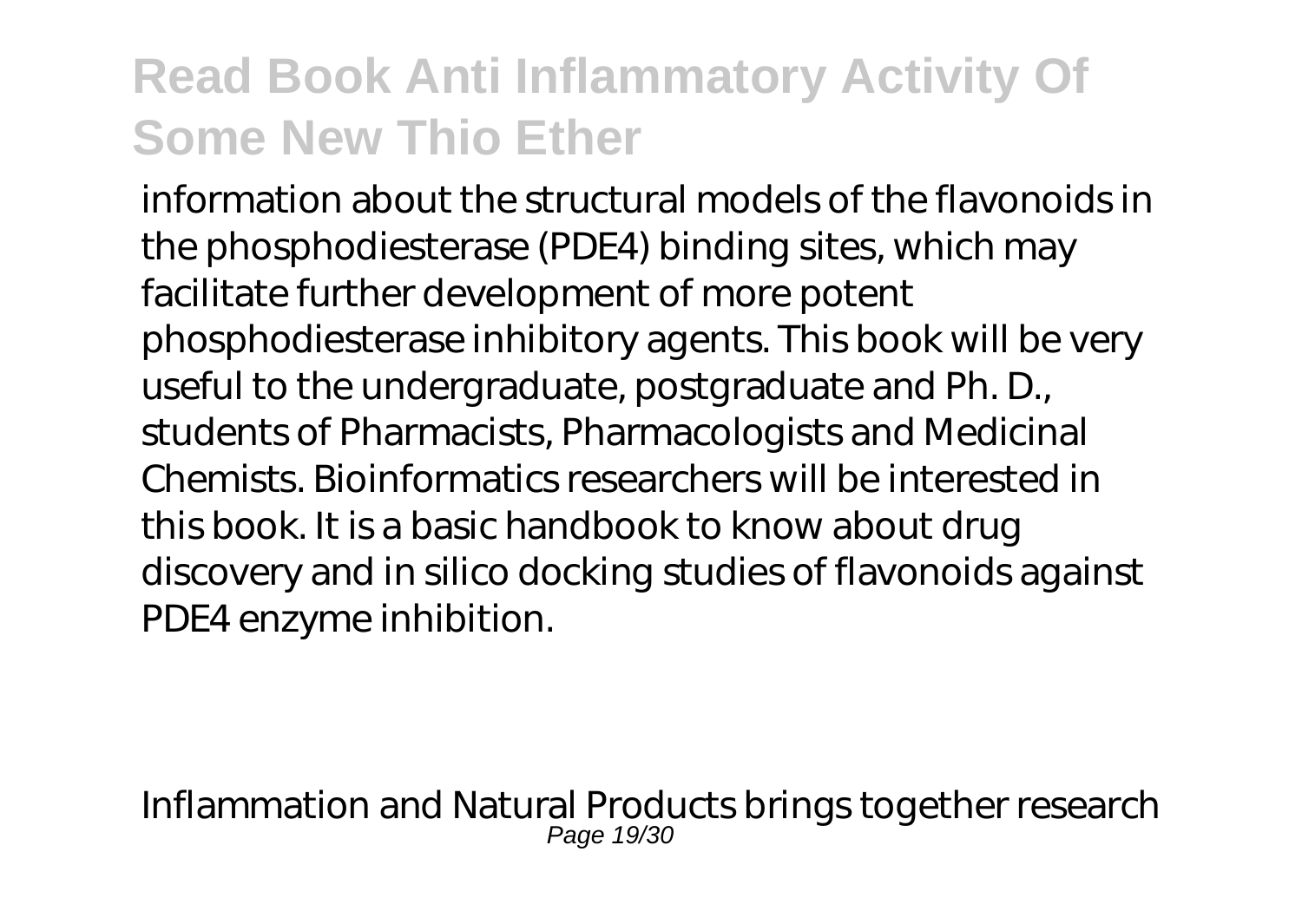information about the structural models of the flavonoids in the phosphodiesterase (PDE4) binding sites, which may facilitate further development of more potent phosphodiesterase inhibitory agents. This book will be very useful to the undergraduate, postgraduate and Ph. D., students of Pharmacists, Pharmacologists and Medicinal Chemists. Bioinformatics researchers will be interested in this book. It is a basic handbook to know about drug discovery and in silico docking studies of flavonoids against PDE4 enzyme inhibition.

Inflammation and Natural Products brings together research Page 19/30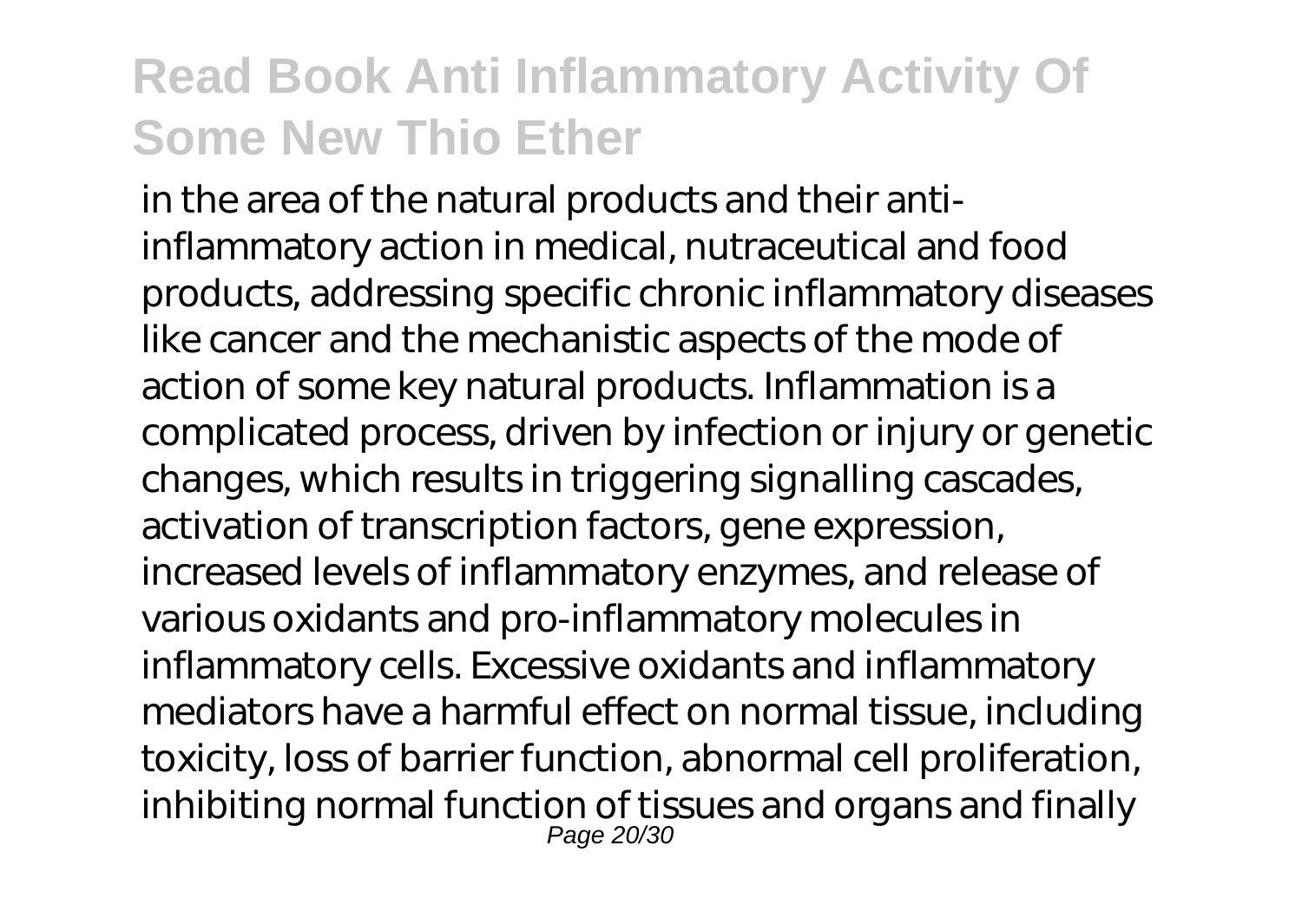in the area of the natural products and their antiinflammatory action in medical, nutraceutical and food products, addressing specific chronic inflammatory diseases like cancer and the mechanistic aspects of the mode of action of some key natural products. Inflammation is a complicated process, driven by infection or injury or genetic changes, which results in triggering signalling cascades, activation of transcription factors, gene expression, increased levels of inflammatory enzymes, and release of various oxidants and pro-inflammatory molecules in inflammatory cells. Excessive oxidants and inflammatory mediators have a harmful effect on normal tissue, including toxicity, loss of barrier function, abnormal cell proliferation, inhibiting normal function of tissues and organs and finally Page 20/30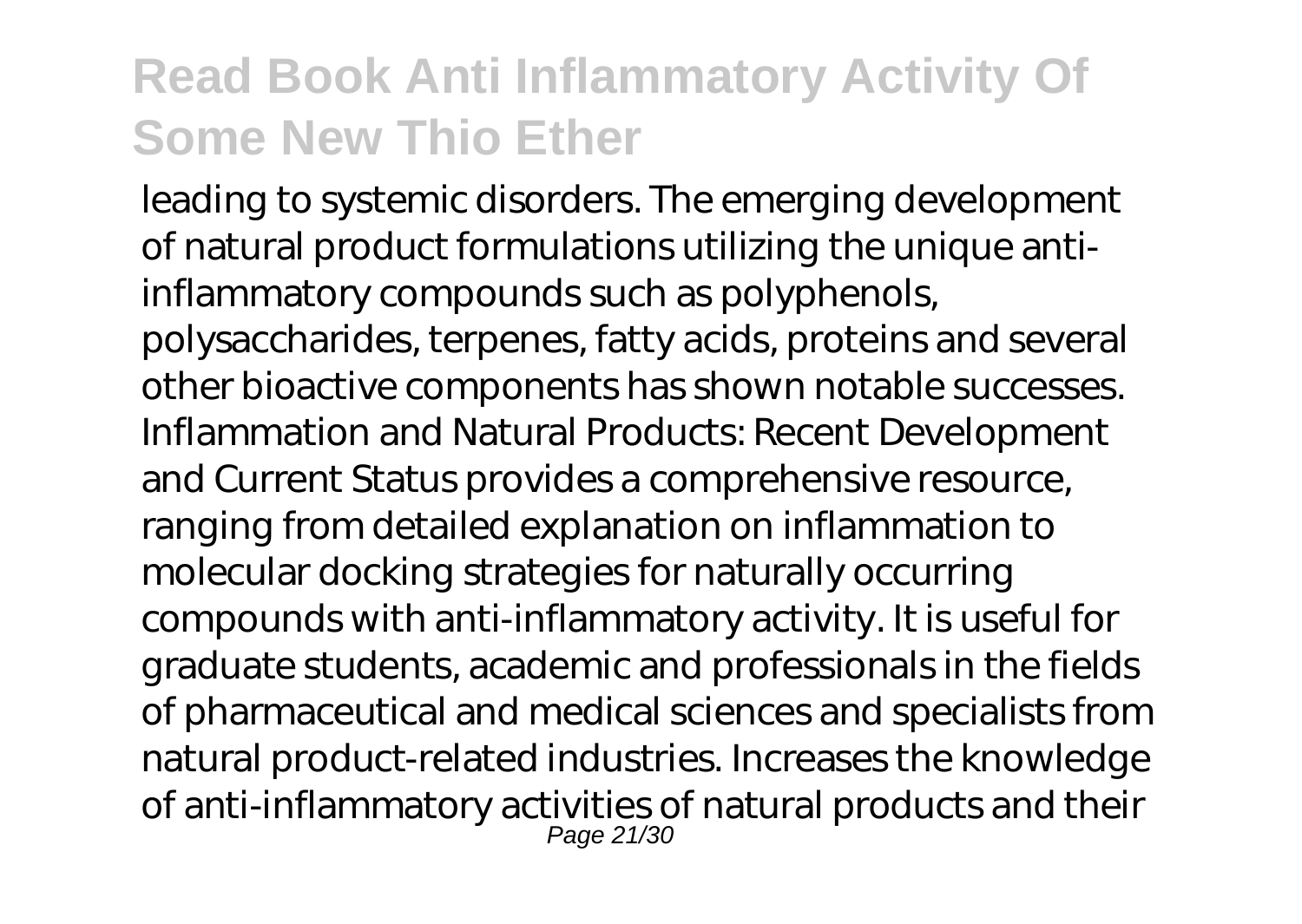leading to systemic disorders. The emerging development of natural product formulations utilizing the unique antiinflammatory compounds such as polyphenols, polysaccharides, terpenes, fatty acids, proteins and several other bioactive components has shown notable successes. Inflammation and Natural Products: Recent Development and Current Status provides a comprehensive resource, ranging from detailed explanation on inflammation to molecular docking strategies for naturally occurring compounds with anti-inflammatory activity. It is useful for graduate students, academic and professionals in the fields of pharmaceutical and medical sciences and specialists from natural product-related industries. Increases the knowledge of anti-inflammatory activities of natural products and their Page 21/30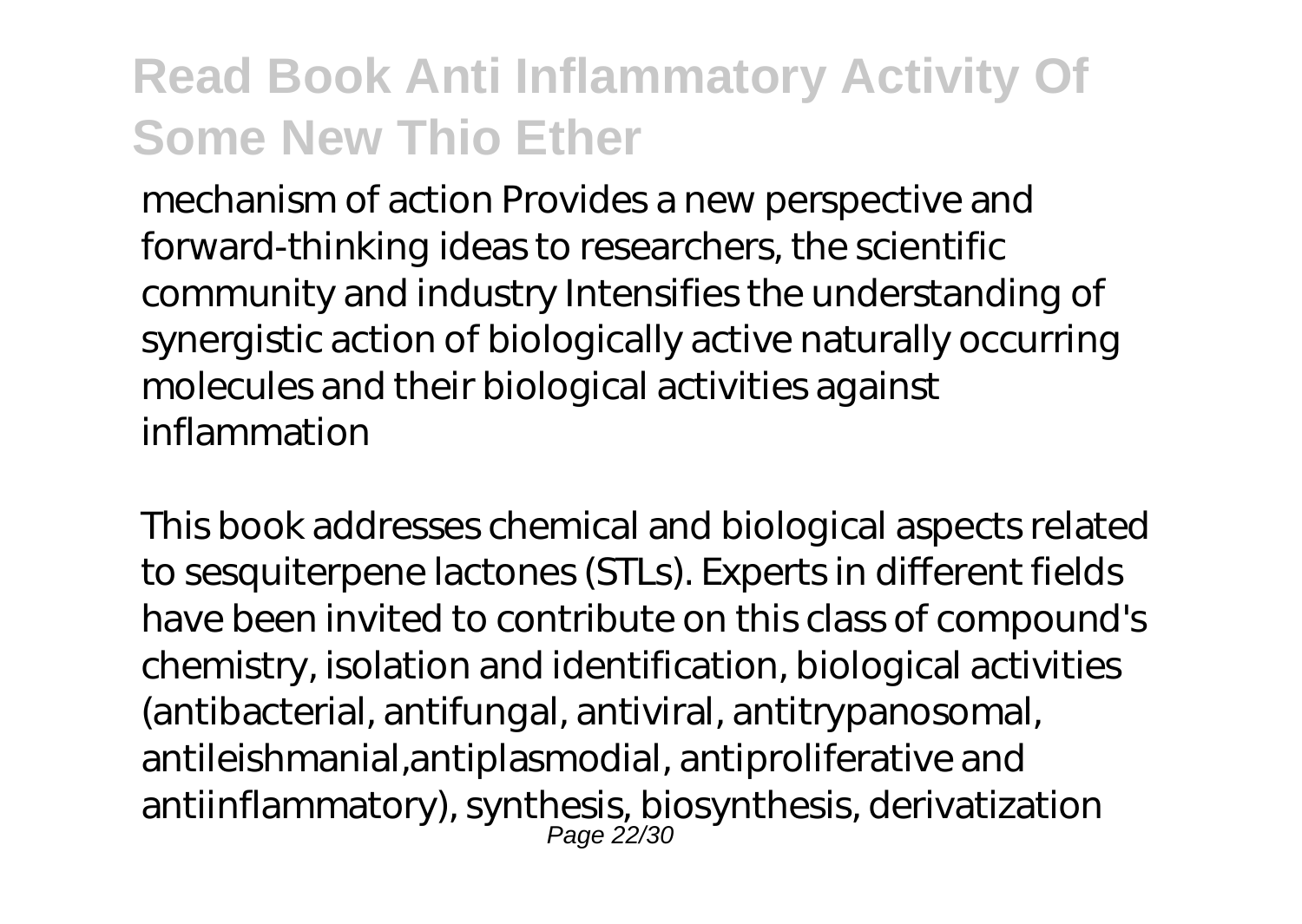mechanism of action Provides a new perspective and forward-thinking ideas to researchers, the scientific community and industry Intensifies the understanding of synergistic action of biologically active naturally occurring molecules and their biological activities against inflammation

This book addresses chemical and biological aspects related to sesquiterpene lactones (STLs). Experts in different fields have been invited to contribute on this class of compound's chemistry, isolation and identification, biological activities (antibacterial, antifungal, antiviral, antitrypanosomal, antileishmanial,antiplasmodial, antiproliferative and antiinflammatory), synthesis, biosynthesis, derivatization Page 22/30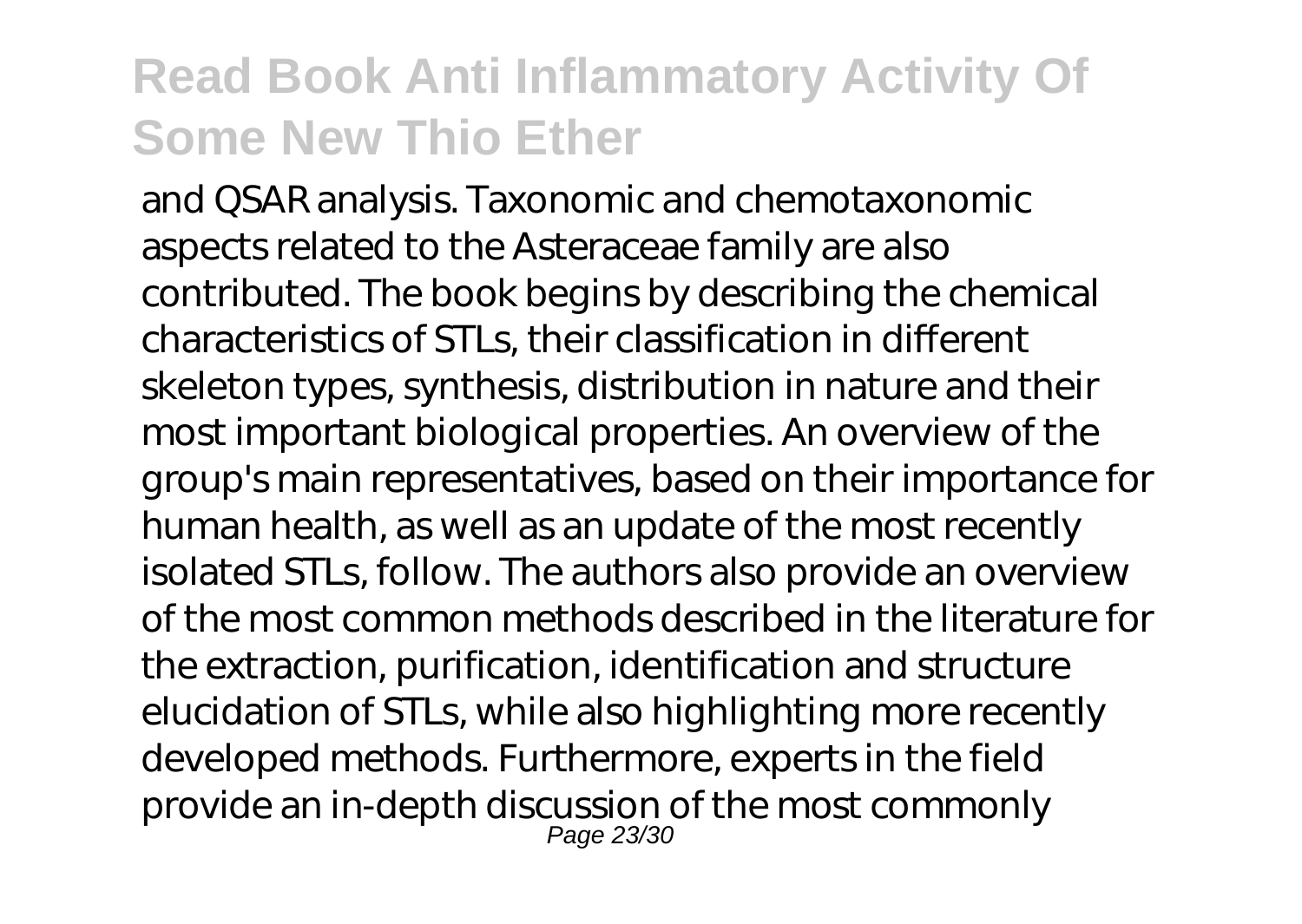and QSAR analysis. Taxonomic and chemotaxonomic aspects related to the Asteraceae family are also contributed. The book begins by describing the chemical characteristics of STLs, their classification in different skeleton types, synthesis, distribution in nature and their most important biological properties. An overview of the group's main representatives, based on their importance for human health, as well as an update of the most recently isolated STLs, follow. The authors also provide an overview of the most common methods described in the literature for the extraction, purification, identification and structure elucidation of STLs, while also highlighting more recently developed methods. Furthermore, experts in the field provide an in-depth discussion of the most commonly Page 23/30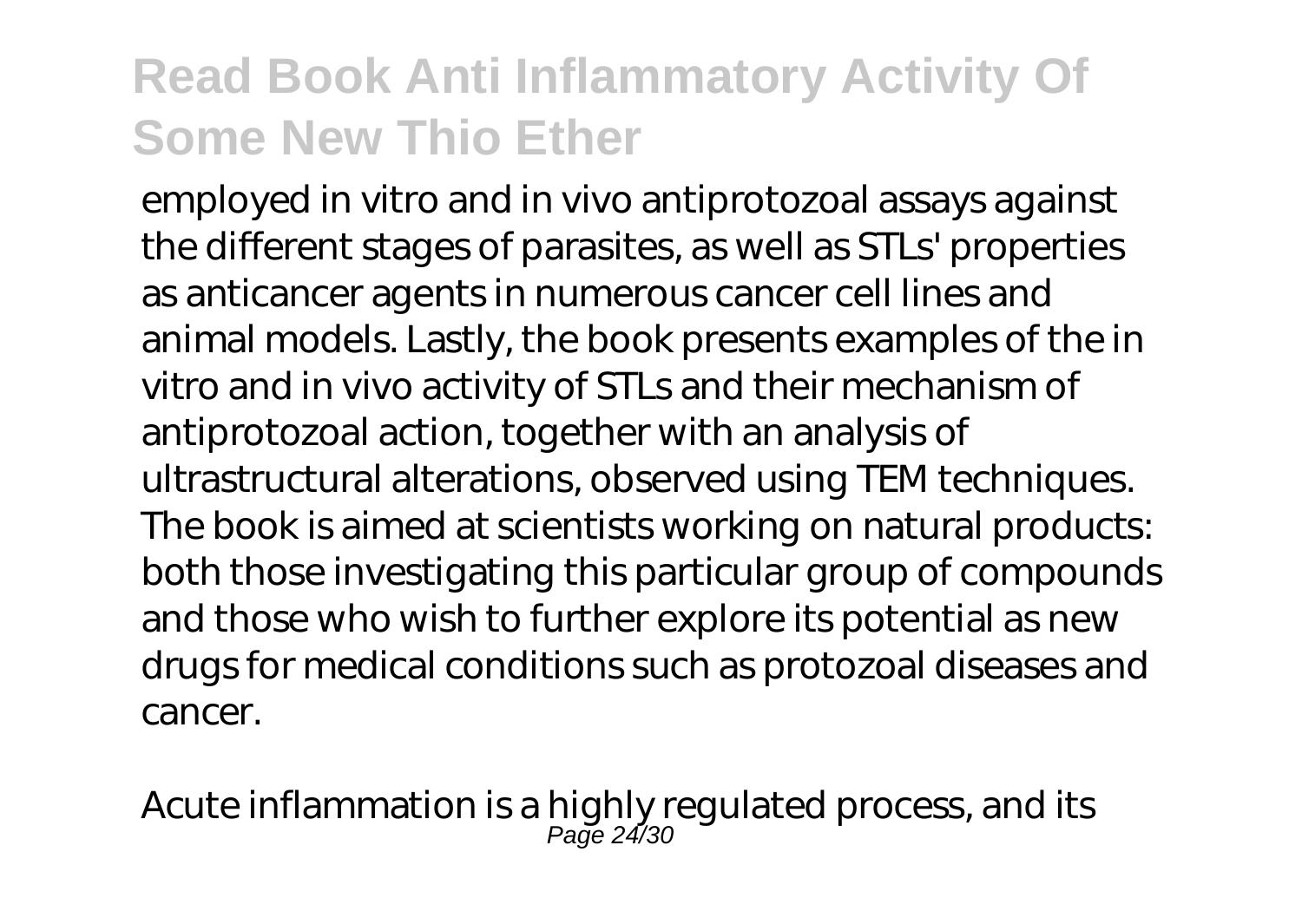employed in vitro and in vivo antiprotozoal assays against the different stages of parasites, as well as STLs' properties as anticancer agents in numerous cancer cell lines and animal models. Lastly, the book presents examples of the in vitro and in vivo activity of STLs and their mechanism of antiprotozoal action, together with an analysis of ultrastructural alterations, observed using TEM techniques. The book is aimed at scientists working on natural products: both those investigating this particular group of compounds and those who wish to further explore its potential as new drugs for medical conditions such as protozoal diseases and cancer.

Acute inflammation is a highly regulated process, and its Page 24/30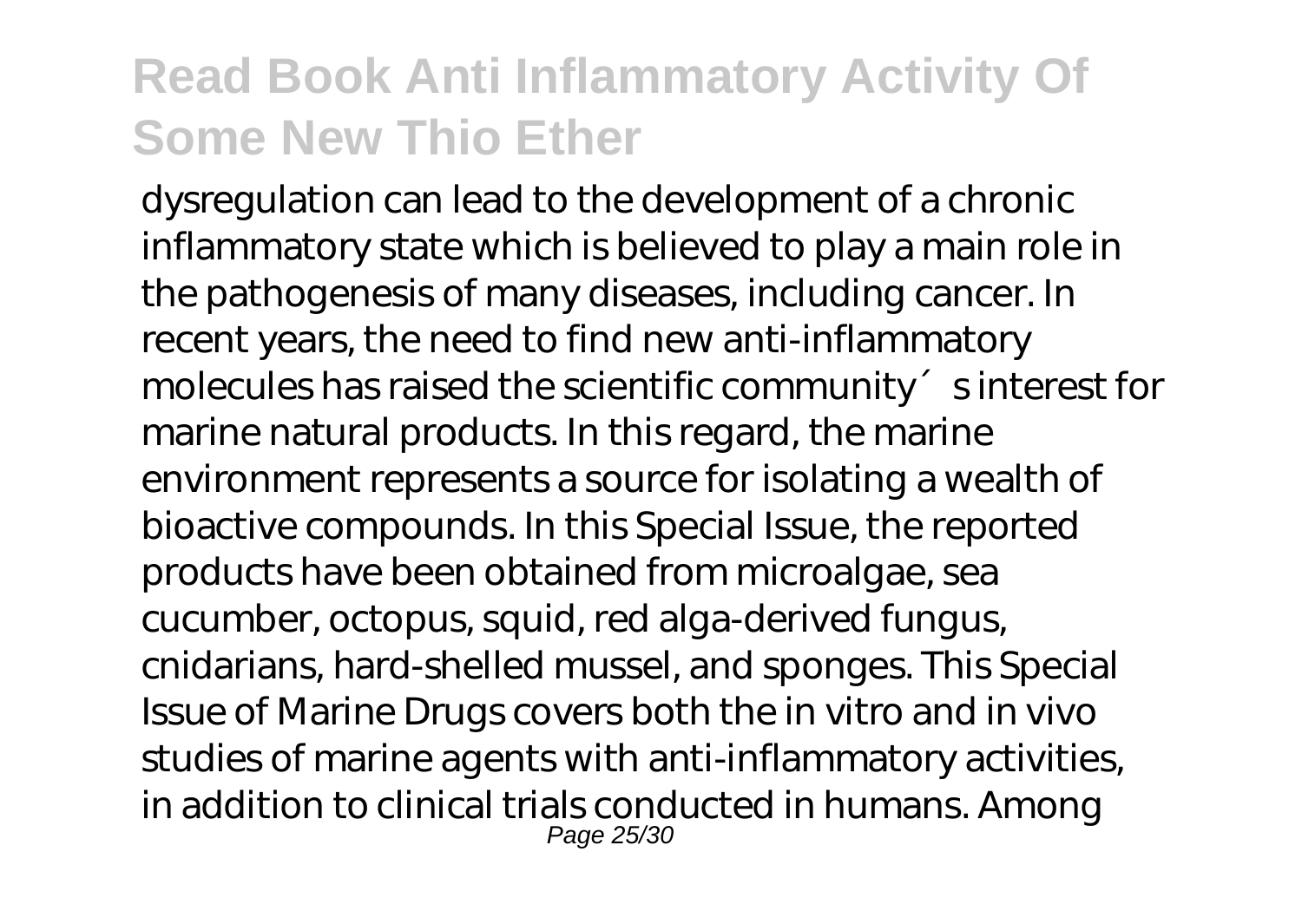dysregulation can lead to the development of a chronic inflammatory state which is believed to play a main role in the pathogenesis of many diseases, including cancer. In recent years, the need to find new anti-inflammatory molecules has raised the scientific community sinterest for marine natural products. In this regard, the marine environment represents a source for isolating a wealth of bioactive compounds. In this Special Issue, the reported products have been obtained from microalgae, sea cucumber, octopus, squid, red alga-derived fungus, cnidarians, hard-shelled mussel, and sponges. This Special Issue of Marine Drugs covers both the in vitro and in vivo studies of marine agents with anti-inflammatory activities, in addition to clinical trials conducted in humans. Among Page 25/30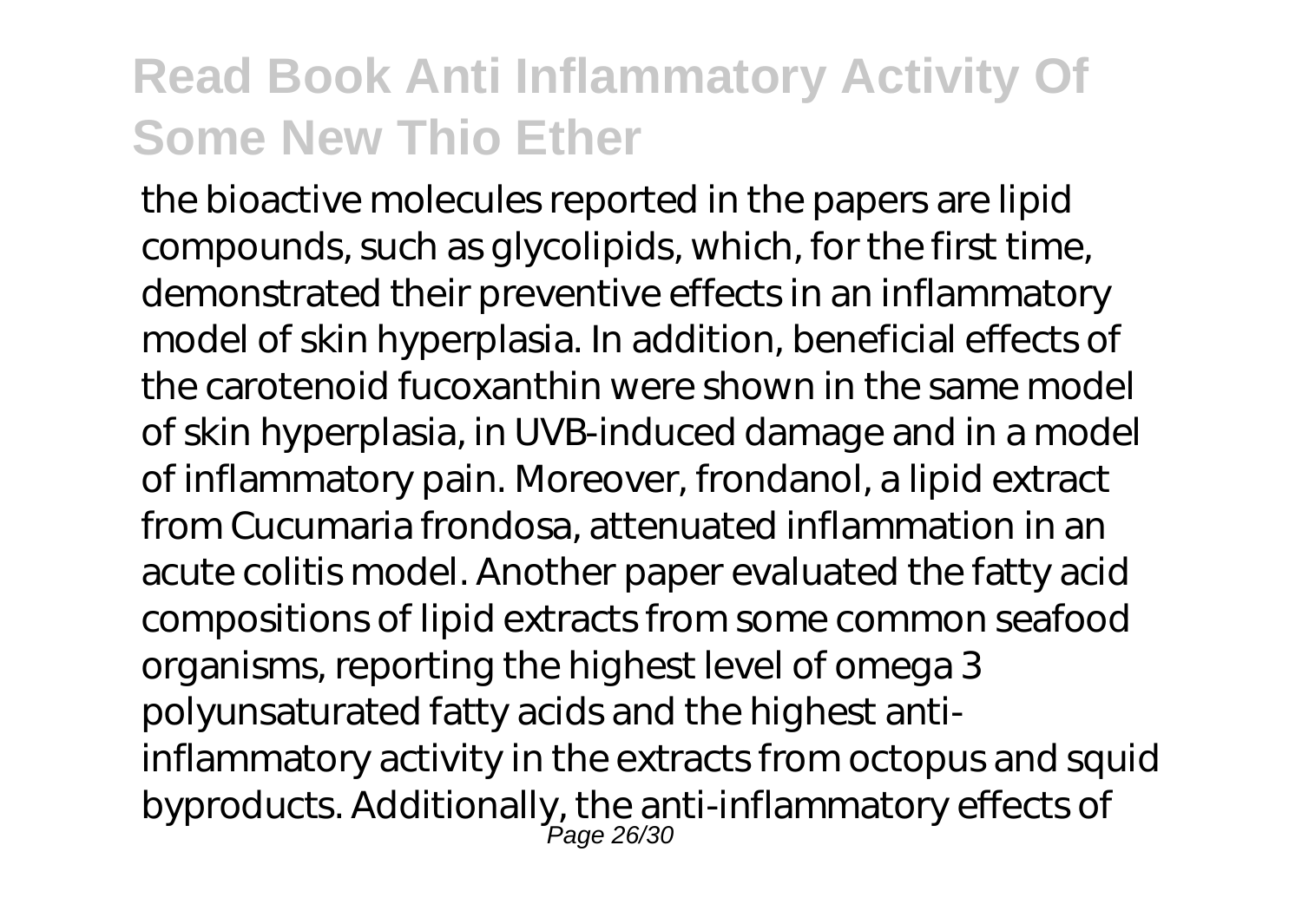the bioactive molecules reported in the papers are lipid compounds, such as glycolipids, which, for the first time, demonstrated their preventive effects in an inflammatory model of skin hyperplasia. In addition, beneficial effects of the carotenoid fucoxanthin were shown in the same model of skin hyperplasia, in UVB-induced damage and in a model of inflammatory pain. Moreover, frondanol, a lipid extract from Cucumaria frondosa, attenuated inflammation in an acute colitis model. Another paper evaluated the fatty acid compositions of lipid extracts from some common seafood organisms, reporting the highest level of omega 3 polyunsaturated fatty acids and the highest antiinflammatory activity in the extracts from octopus and squid byproducts. Additionally, the anti-inflammatory effects of Page 26/30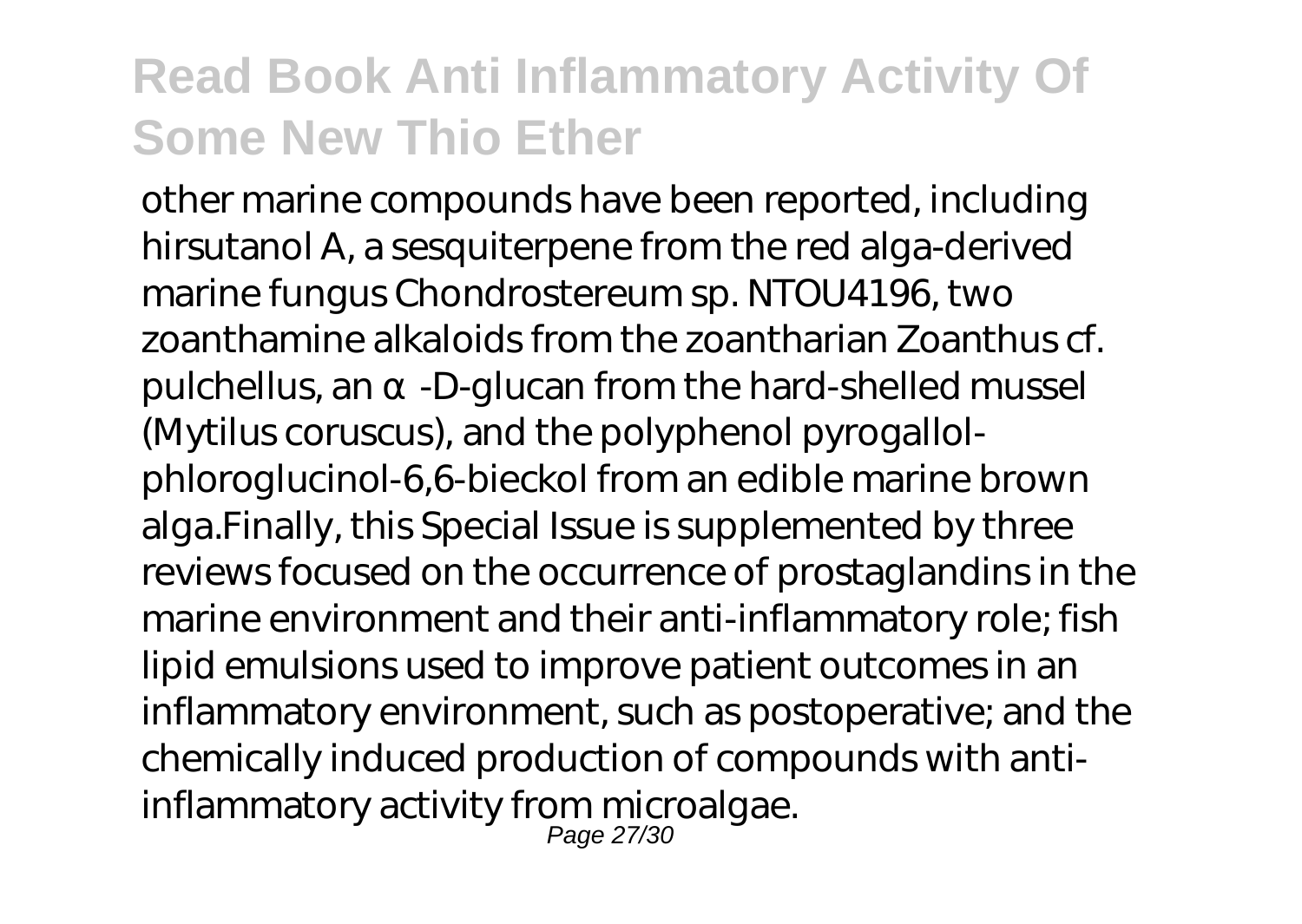other marine compounds have been reported, including hirsutanol A, a sesquiterpene from the red alga-derived marine fungus Chondrostereum sp. NTOU4196, two zoanthamine alkaloids from the zoantharian Zoanthus cf. pulchellus, an -D-glucan from the hard-shelled mussel (Mytilus coruscus), and the polyphenol pyrogallolphloroglucinol-6,6-bieckol from an edible marine brown alga.Finally, this Special Issue is supplemented by three reviews focused on the occurrence of prostaglandins in the marine environment and their anti-inflammatory role; fish lipid emulsions used to improve patient outcomes in an inflammatory environment, such as postoperative; and the chemically induced production of compounds with antiinflammatory activity from microalgae.

Page 27/30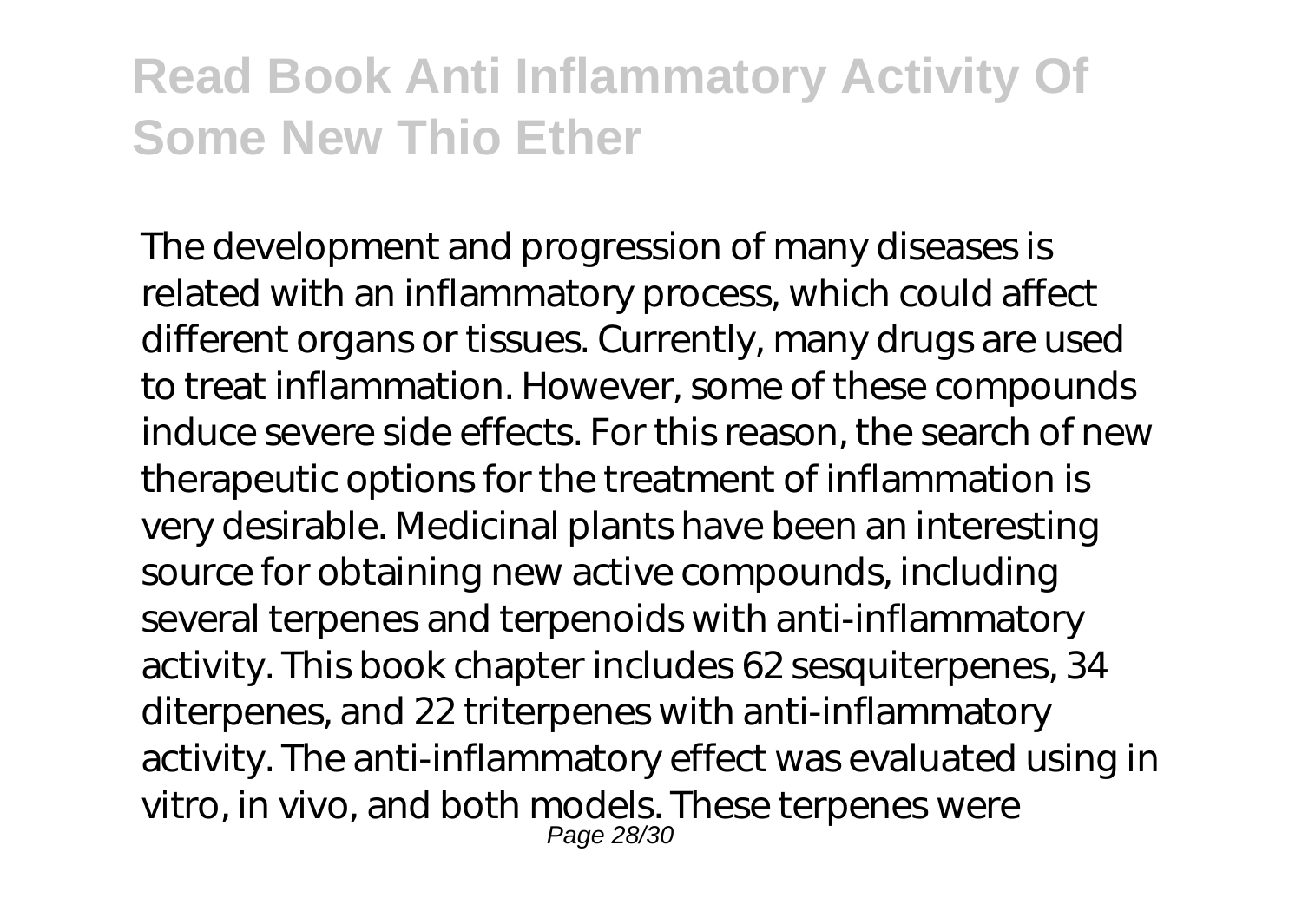The development and progression of many diseases is related with an inflammatory process, which could affect different organs or tissues. Currently, many drugs are used to treat inflammation. However, some of these compounds induce severe side effects. For this reason, the search of new therapeutic options for the treatment of inflammation is very desirable. Medicinal plants have been an interesting source for obtaining new active compounds, including several terpenes and terpenoids with anti-inflammatory activity. This book chapter includes 62 sesquiterpenes, 34 diterpenes, and 22 triterpenes with anti-inflammatory activity. The anti-inflammatory effect was evaluated using in vitro, in vivo, and both models. These terpenes were Page 28/30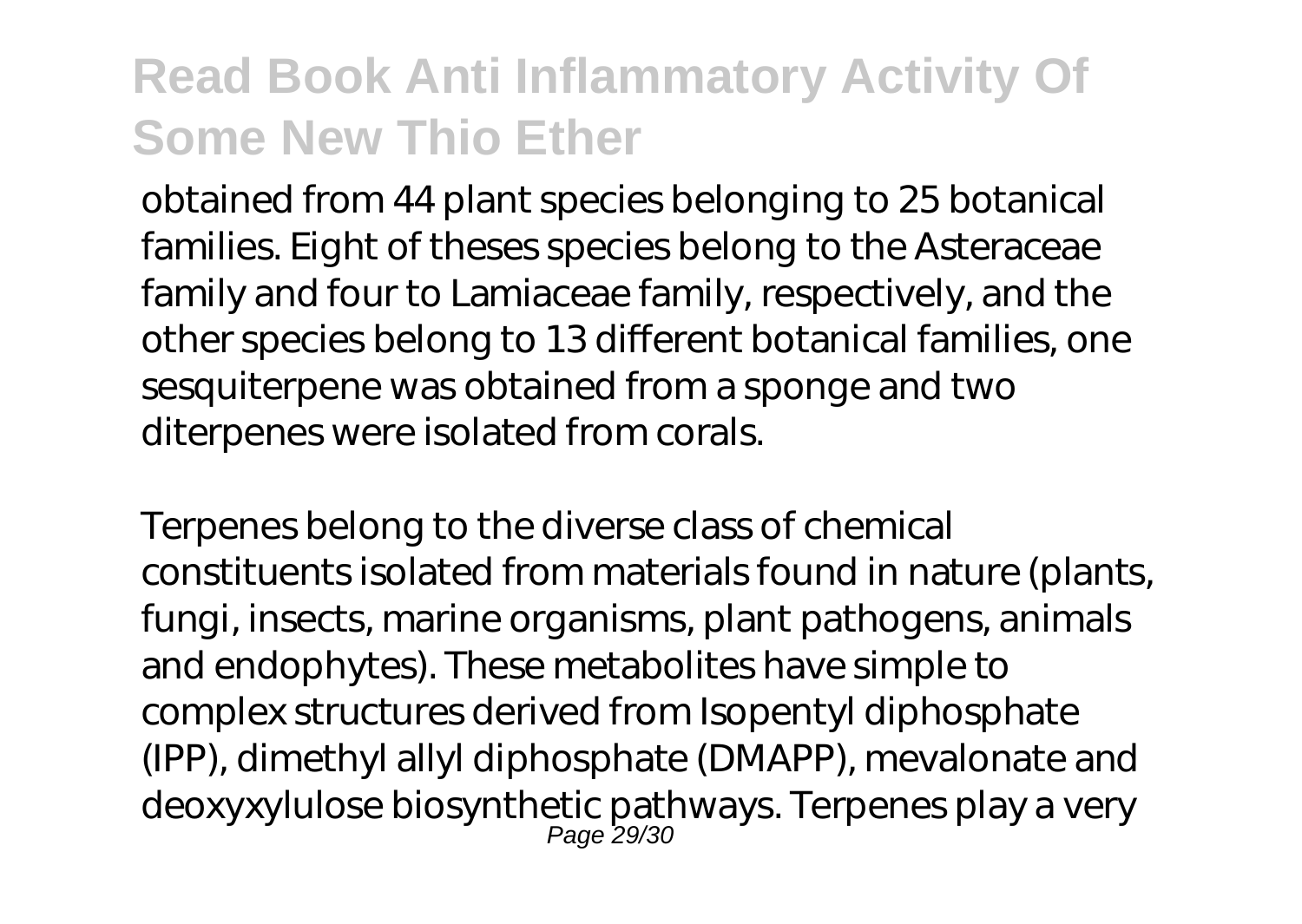obtained from 44 plant species belonging to 25 botanical families. Eight of theses species belong to the Asteraceae family and four to Lamiaceae family, respectively, and the other species belong to 13 different botanical families, one sesquiterpene was obtained from a sponge and two diterpenes were isolated from corals.

Terpenes belong to the diverse class of chemical constituents isolated from materials found in nature (plants, fungi, insects, marine organisms, plant pathogens, animals and endophytes). These metabolites have simple to complex structures derived from Isopentyl diphosphate (IPP), dimethyl allyl diphosphate (DMAPP), mevalonate and deoxyxylulose biosynthetic pathways. Terpenes play a very Page 29/30